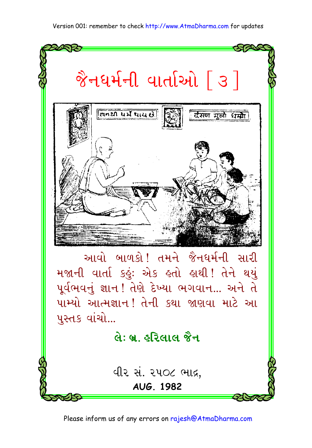#### Version 001: remember to check http://www.AtmaDharma.com for updates



Please inform us of any errors on rajesh@AtmaDharma.com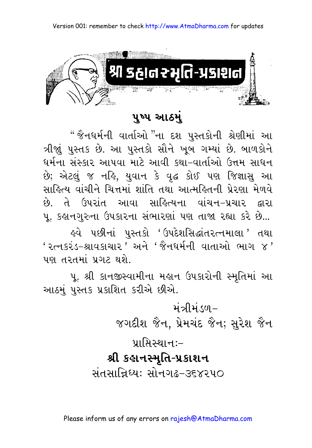

#### પુષ્પ આઠમં

" જૈનધર્મની વાર્તાઓ "ના દશ પુસ્તકોની શ્રેણીમાં આ ત્રીજાં પુસ્તક છે. આ પુસ્તકો સૌને ખુબ ગમ્યાં છે. બાળકોને ધર્મના સંસ્કાર આપવા માટે આવી કથા-વાર્તાઓ ઉત્તમ સાધન છે; એટલું જ નહિ, યુવાન કે વૃદ્ધ કોઈ પણ જિજ્ઞાસુ આ સાહિત્ય વાંચીને ચિત્તમાં શાંતિ તથા આત્મહિતની પ્રેરણા મેળવે છે. તે ઉપરાંત આવા સાહિત્યના વાંચન-પ્રચાર દ્વારા પૂ. કહાનગુરુના ઉપકારના સંભારણાં પણ તાજા રહ્યા કરે છે... ૬વે પછીનાં પુસ્તકો 'ઉપદેશસિદ્ધાંતરત્નમાલા' તથા ' રત્નકરંડ-શ્રાવકાચાર ' અને 'જૈનધર્મની વાતાઓ ભાગ ૪' પણ તરતમાં પ્રગટ થશે.

પુ. શ્રી કાનજીસ્વામીના મહાન ઉપકારોની સ્મૃતિમાં આ આઠમું પુસ્તક પ્રકાશિત કરીએ છીએ.

> मंत्रीमंडળ– જગદીશ જૈન, પ્રેમચંદ જૈન; સુરેશ જૈન  $y_1$ मिस्थान:–

#### શ્રી કહાનસ્મૃતિ-પ્રકાશન

સંતસાન્નિધ્ય: સોનગઢ–૩૬૪૨૫૦

Please inform us of any errors on rajesh@AtmaDharma.com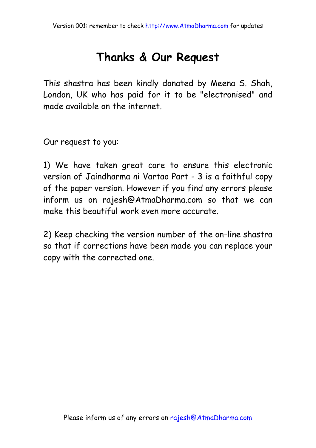#### **Thanks & Our Request**

This shastra has been kindly donated by Meena S. Shah, London, UK who has paid for it to be "electronised" and made available on the internet.

Our request to you:

1) We have taken great care to ensure this electronic version of Jaindharma ni Vartao Part - 3 is a faithful copy of the paper version. However if you find any errors please inform us on rajesh@AtmaDharma.com so that we can make this beautiful work even more accurate.

2) Keep checking the version number of the on-line shastra so that if corrections have been made you can replace your copy with the corrected one.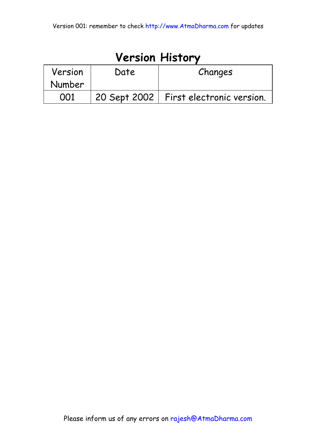| <b>Version History</b> |      |                                          |
|------------------------|------|------------------------------------------|
| Version                | Date | Changes                                  |
| Number                 |      |                                          |
| 001                    |      | 20 Sept 2002   First electronic version. |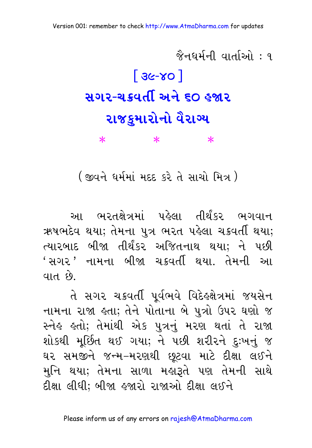<mark>જૈનઘર્મની વાર્તાઓ : ૧</mark>  $3c-x0$ સગર-ચક્રવર્તી અને ૬૦ હજાર રાજકુમારોનો વૈરાગ્ય  $\ast$  $\ast$  $\ast$ 

( જીવને ધર્મમાં મદદ કરે તે સાચો મિત્ર )

આ ભરતક્ષેત્રમાં પહેલા તીર્થંકર ભગવાન ઋષભદેવ થયા; તેમના પુત્ર ભરત પહેલા ચક્રવર્તી થયા; ત્યારબાદ બીજા તીર્થંકર અજિતનાથ થયા: ને પછી 'સગર' નામના બીજા ચક્રવર્તી થયા. તેમની આ વાત છે.

તે સગર ચક્રવર્તી પર્વભવે વિદેહ્ક્ષેત્રમાં જયસેન નામના રાજા હતા; તેને પોતાના બે પુત્રો ઉપર ઘણો જ સ્નેહ હતો; તેમાંથી એક પુત્રનું મરણ થતાં તે રાજા શોકથી મૂર્છિત થઈ ગયા; ને પછી શરીરને દુઃખનું જ ઘર સમજીને જન્મ–મરણથી છૂટવા માટે દીક્ષા લઈને મુનિ થયા; તેમના સાળા મહારૂતે પણ તેમની સાથે દીક્ષા લીધી: બીજા હજારો રાજાઓ દીક્ષા લઈને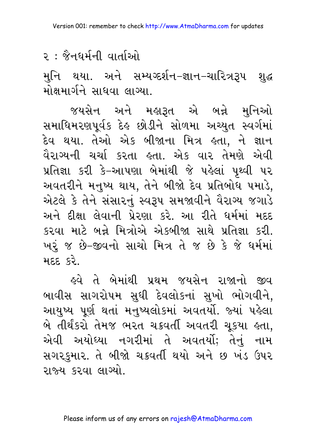મુનિ થયા. અને સમ્યગ્દર્શન–જ્ઞાન–ચારિત્રરૂપ શુદ્ધ મોક્ષમાર્ગને સાધવા લાગ્યા.

જયસેન અને મહારૂત એ બન્ને મુનિઓ સમાધિમરણપૂર્વક દેહ છોડીને સોળમા અચ્યુત સ્વર્ગમાં દેવ થયા. તેઓ એક બીજાના મિત્ર હતા, ને જ્ઞાન વૈરાગ્યની ચર્ચા કરતા હતા. એક વાર તેમણે એવી પ્રતિજ્ઞા કરી કે-આપણા બેમાંથી જે પહેલાં પૃથ્વી પર અવતરીને મનુષ્ય થાય, તેને બીજો દેવ પ્રતિબોધ પમાડે, એટલે કે તેને સંસારનું સ્વરૂપ સમજાવીને વૈરાગ્ય જગાડે અને દીક્ષા લેવાની પ્રેરણા કરે. આ રીતે ધર્મમાં મદદ કરવા માટે બન્ને મિત્રોએ એકબીજા સાથે પ્રતિજ્ઞા કરી. ખરું જ છે-જીવનો સાચો મિત્ર તે જ છે કે જે ધર્મમાં મદદ કરે

<u>ઢવે તે બેમાંથી પ્રથમ જયસેન રાજાનો જીવ</u> બાવીસ સાગરોપમ સુધી દેવલોકનાં સુખો ભોગવીને, આયુષ્ય પૂર્ણ થતાં મનુષ્યલોકમાં અવતર્યો. જ્યાં પહેલા બે તીર્થંકરો તેમજ ભરત ચક્રવર્તી અવતરી ચૂકયા હતા, એવી અયોધ્યા નગરીમાં તે અવતર્યો; તેનું નામ સગરકુમાર. તે બીજો ચક્રવર્તી થયો અને છ ખંડ ઉપર રાજ્ય કરવા લાગ્યો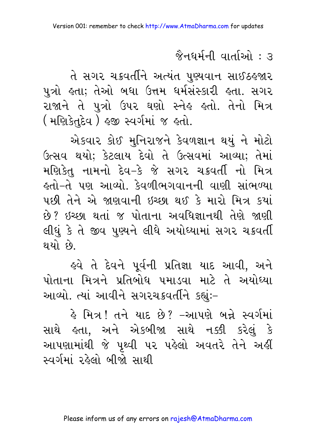તે સગર ચક્રવર્તીને અત્યંત પુણ્યવાન સાઈઠ જાર પુત્રો હતા; તેઓ બધા ઉત્તમ ધર્મસંસ્કારી હતા. સગર રાજાને તે પુત્રો ઉપર ઘણો સ્નેહ હતો. તેનો મિત્ર ( मणिडेतुद्देव) इक स्वर्गमां ४ इतो.

એકવાર કોઈ મનિરાજને કેવળજ્ઞાન થયં ને મોટો ઉત્સવ થયો; કેટલાય દેવો તે ઉત્સવમાં આવ્યા; તેમાં મણિકેત નામનો દેવ–કે જે સગર ચક્રવર્તી નો મિત્ર ઙ્તો−તે પણ આવ્યો. કેવળીભગવાનની વાણી સાંભળ્યા પછી તેને એ જાણવાની ઇચ્છા થઈ કે મારો મિત્ર કયાં છે? ઇચ્છા થતાં જ પોતાના અવધિજ્ઞાનથી તેણે જાણી લીધું કે તે જીવ પુણ્યને લીધે અયોધ્યામાં સગર ચક્રવર્તી થયો છે.

હવે તે દેવને પર્વની પ્રતિજ્ઞા યાદ આવી. અને પોતાના મિત્રને પ્રતિબોધ પમાડવા માટે તે અયોધ્યા આવ્યો. ત્યાં આવીને સગરચક્રવર્તીને કહ્યુંઃ-

કે મિત્ર ! તને યાદ છે? –આપણે બન્ને સ્વર્ગમાં સાથે હતા, અને એકબીજા સાથે નક્કી કરેલું કે આપણામાંથી જે પૃથ્વી પર પહેલો અવતરે તેને અહીં સ્વર્ગમાં રહેલો બીજો સાથી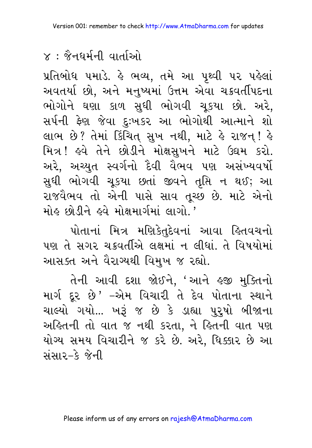# $\times$ ः જૈનુઘર્મની વાર્તાઓ

પ્રતિબોધ ૫માડે. કે ભવ્ય, તમે આ પૃથ્વી ૫૨ ૫કેલાં અવતર્યા છો, અને મનુષ્યમાં ઉત્તમ એવા ચક્રવર્તીપદના ભોગોને ઘણા કાળ સુધી ભોગવી ચૂકયા છો. અરે, સર્પની ફેણ જેવા દુઃખકર આ ભોગોથી આત્માને શો લાભ છે? તેમાં કિંચિત્ સુખ નથી, માટે કે રાજન્! કે મિત્ર! હવે તેને છોડીને મોક્ષસખને માટે ઉદ્યમ કરો. અરે, અચ્યુત સ્વર્ગનો દૈવી વૈભવ પણ અસંખ્યવર્ષો સુધી ભોગવી ચૂકયા છતાં જીવને તૃપ્તિ ન થઈ; આ રાજવૈભવ તો એની પાસે સાવ તૂચ્છ છે. માટે એનો મોઢ છોડીને ઢવે મોક્ષમાર્ગમાં લાગો '

પોતાનાં મિત્ર મણિકેતુદેવનાં આવા હિતવચનો પણ તે સગર ચક્રવર્તીએ લક્ષમાં ન લીધાં. તે વિષયોમાં આસક્ત અને વૈરાગ્યથી વિમુખ જ રહ્યો.

તેની આવી દશા જોઈને, 'આને હજી મુક્તિનો માર્ગ દૂર છે' –એમ વિચારી તે દેવ પોતાના સ્થાને ચાલ્યો ગયો... ખરૂં જ છે કે ડાહ્યા પુરુષો બીજાના અહિતની તો વાત જ નથી કરતા, ને હિતની વાત પણ યોગ્ય સમય વિચારીને જ કરે છે. અરે, ધિક્કાર છે આ સંસાર–કે જેની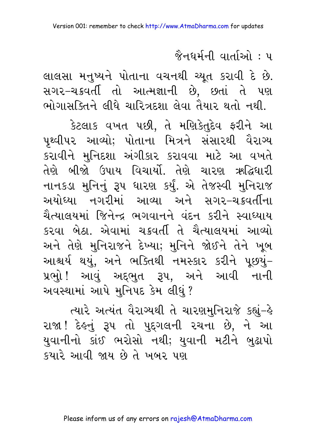લાલસા મનુષ્યને પોતાના વચનથી ચ્યૂત કરાવી દે છે. સગર-ચક્રવર્તી તો આત્મજ્ઞાની છે, છતાં તે પણ ભોગાસક્તિને લીધે ચારિત્રદશા લેવા તૈયાર થતો નથી.

કેટલાક વખત પછી, તે મણિકેતુદેવ ફરીને આ પૃથ્વીપર આવ્યો; પોતાના મિત્રને સંસારથી વૈરાગ્ય કરાવીને મુનિદશા અંગીકાર કરાવવા માટે આ વખતે તેણે બીજો ઉપાય વિચાર્યો. તેણે ચારણ ઋદ્ધિધારી નાનકડા મુનિનું રૂપ ધારણ કર્યું. એ તેજસ્વી મુનિરાજ અયોધ્યા નગરીમાં આવ્યા અને સગર-ચક્રવર્તીના ચૈત્યાલયમાં જિનેન્દ્ર ભગવાનને વંદન કરીને સ્વાધ્યાય કરવા બેઠા, એવામાં ચક્રવર્તી તે ચૈત્યાલયમાં આવ્યો અને તેણે મુનિરાજને દેખ્યા; મુનિને જોઈને તેને ખૂબ આશ્ચર્ય થયું, અને ભક્તિથી નમસ્કાર કરીને પૂછયું– પ્રભુો ! આવું અદ્દભુત રૂપ, અને આવી નાની અવસ્થામાં આપે મુનિપદ કેમ લીધું ?

ત્યારે અત્યંત વૈરાગ્યથી તે ચારણમુનિરાજે કહ્યું-હે રાજા ! દેહનું રૂપ તો પુદ્ગલની રચના છે, ને આ યુવાનીનો કાંઈ ભરોસો નથી; યુવાની મટીને બુઢાપો કયારે આવી જાય છે તે ખબર પણ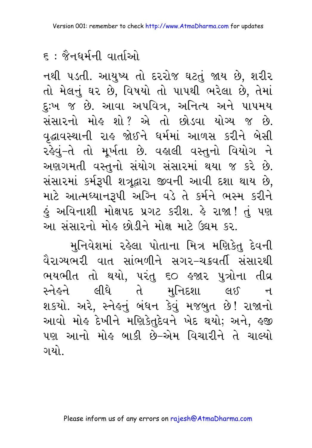નથી ૫ડતી. આયુષ્ય તો દરરોજ ઘટતું જાય છે, શરીર તો મેલનું ઘર છે, વિષયો તો પાપથી ભરેલા છે, તેમાં દુ:ખ જ છે. આવા અપવિત્ર, અનિત્ય અને પાપમય સંસારનો મોહ શો? એ તો છોડવા યોગ્ય જ છે. વૃદ્ધાવસ્થાની રાહ જોઈને ધર્મમાં આળસ કરીને બેસી રહેવું-તે તો મૂર્ખતા છે. વહાલી વસ્તુનો વિયોગ ને અણગમતી વસ્તુનો સંયોગ સંસારમાં થયા જ કરે છે. સંસારમાં કર્મરૂપી શત્રૂદ્વારા જીવની આવી દશા થાય છે, માટે આત્મધ્યાનરૂપી અગ્નિ વડે તે કર્મને ભસ્મ કરીને હું અવિનાશી મોક્ષપદ પ્રગટ કરીશ. હે રાજા!તું પણ આ સંસારનો મોહ છોડીને મોક્ષ માટે ઉદ્યમ કર.

મુનિવેશમાં રહેલા પોતાના મિત્ર મણિકેતુ દેવની વૈરાગ્યભરી વાત સાંભળીને સગર–ચક્રવર્તી સંસારથી ભયભીત તો થયો, પરંતુ ૬૦ હજાર પુત્રોના તીવ્ર સ્નેહને લીધે તે મુનિદશા લઈ  $\mathbf{d}$ શકયો. અરે, સ્નેહનું બંધન કેવું મજબુત છે! રાજાનો આવો મોહ દેખીને મણિકેતુદેવને ખેદ થયો; અને, હજી ૫ણ આનો મોહ બાકી છે–એમ વિચારીને તે ચાલ્યો ગયો -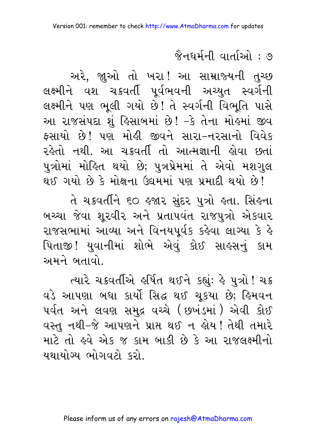# <u> જૈનધર્મની વાર્તાઓ : ૭</u>

અરે, જાુઓ તો ખરા! આ સામ્રાજ્યની તુચ્છ લક્ષ્મીને વશ ચક્રવર્તી પૂર્વભવની અચ્યુત સ્વર્ગની લક્ષ્મીને પણ ભૂલી ગયો છે! તે સ્વર્ગની વિભૂતિ પાસે આ રાજસંપદા શું હિસાબમાં છે! -કે તેના મોહમાં જીવ ફસાયો છે! પણ મોહી જીવને સારા-નરસાનો વિવેક રહેતો નથી. આ ચકવર્તી તો આત્મજ્ઞાની હોવા છતાં પુત્રોમાં મોહિત થયો છે; પુત્રપ્રેમમાં તે એવો મશગુલ થઈ ગયો છે કે મોક્ષના ઉદ્યમમાં પણ પ્રમાદી થયો છે!

તે ચક્રવર્તીને ૬૦ હજાર સુંદર પુત્રો હતા. સિંહના બચ્ચા જેવા શૂરવીર અને પ્રતાપવંત રાજપુત્રો એકવાર રાજસભામાં આવ્યા અને વિનયપર્વક કહેવા લાગ્યા કે હે પિતાજી! યુવાનીમાં શોભે એવું કોઈ સાહસનું કામ અમને બતાવો

ત્યારે ચક્રવર્તીએ હર્ષિત થઈને કહ્યું: હે પુત્રો ! ચક્ર વડે આપણા બધા કાર્યો સિદ્ધ થઈ ચૂકયા છે; હિમવન પર્વત અને લવણ સમુદ્ર વચ્ચે (છખંડમાં) એવી કોઈ વસ્તુ નથી-જે આપણને પ્રાપ્ત થઈ ન હોય ! તેથી તમારે માટે તો હવે એક જ કામ બાકી છે કે આ રાજલક્ષ્મીનો <u>યથાયોગ્ય ભોગવટો કરો.</u>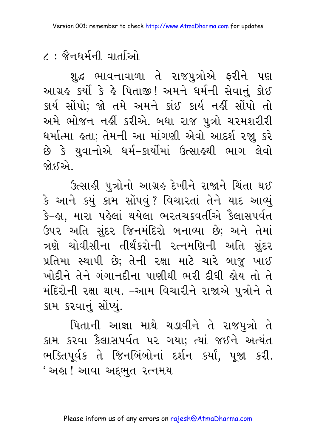શુદ્ધ ભાવનાવાળા તે રાજપુત્રોએ ફરીને પણ આગ્રહ કર્યો કે હે પિતાજી! અમને ધર્મની સેવાનું કોઈ કાર્ય સોંપો; જો તમે અમને કાંઈ કાર્ય નહીં સોંપો તો અમે ભોજન નહીં કરીએ. બધા રાજ પુત્રો ચરમશરીરી ધર્માત્મા હતા; તેમની આ માંગણી એવો આદર્શ રજા કરે છે કે યુવાનોએ ઘર્મ–કાર્યોમાં ઉત્સાહથી ભાગ લેવો જોક્ઽએ..

ઉત્સાહી પુત્રોનો આગ્રહ દેખીને રાજાને ચિંતા થઈ કે આને કયું કામ સોંપવું? વિચારતાં તેને યાદ આવ્યું કે–હા, મારા પહેલાં થયેલા ભરતચક્રવર્તીએ કૈલાસપર્વત ઉપર અતિ સુંદર જિનમંદિરો બનાવ્યા છે; અને તેમાં ત્રણે ચોવીસીના તીર્થંકરોની રત્નમણિની અતિ સુંદર પ્રતિમા સ્થાપી છે; તેની રક્ષા માટે ચારે બાજ ખાઈ ખોદીને તેને ગંગાનદીના પાણીથી ભરી દીધી હોય તો તે મંદિરોની રક્ષા થાય. –આમ વિચારીને રાજાએ પુત્રોને તે કામ કરવાનું સોંપ્યું.

પિતાની આજ્ઞા માથે ચડાવીને તે રાજપુત્રો તે કામ કરવા કૈલાસપર્વત પર ગયા; ત્યાં જઈને અત્યંત ભક્તિપૂર્વક તે જિનબિંબોનાં દર્શન કર્યાં, પૂજા કરી. ' અહા ! આવા અદભત રત્નમય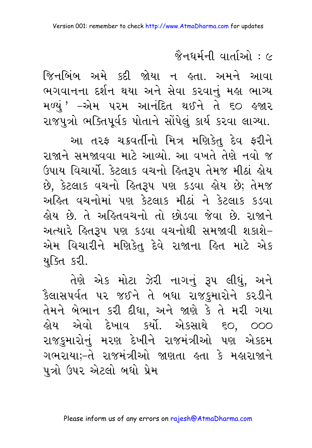# $\hat{\%}$ नधर्मनी वार्ताओ $\cdot$   $\sim$

જિનબિંબ અમે કદી જોયા ન હતા. અમને આવા ભગવાનના દર્શન થયા અને સેવા કરવાનં મહા ભાગ્ય મળ્યું ' –એમ પરમ આનંદિત થઈને તે ૬૦ હજાર રાજપુત્રો ભક્તિપૂર્વક પોતાને સોંપેલું કાર્ય કરવા લાગ્યા.

આ તરફ ચક્રવર્તીનો મિત્ર મણિકેતુ દેવ ફરીને રાજાને સમજાવવા માટે આવ્યો. આ વખતે તેણે નવો જ ઉપાય વિચાર્યો. કેટલાક વચનો હિતરૂપ તેમજ મીઠાં હોય છે, કેટલાક વચનો હિતરૂપ પણ કડવા હોય છે; તેમજ અહિત વચનોમાં પણ કેટલાક મીઠાં ને કેટલાક કડવા લોય છે. તે અલ્લિવચનો તો છોડવા જેવા છે. રાજાને અત્યારે હિત૩૫ પણ કડવા વચનોથી સમજાવી શકાશે– એમ વિચારીને મણિકેતુ દેવે રાજાના હિત માટે એક યક્તિ કરી.

તેણે એક મોટા ઝેરી નાગનું રૂપ લીધું, અને કૈલાસપર્વત પર જઈને તે બધા રાજકુમારોને કરડીને તેમને બેભાન કરી દીધા, અને જાણે કે તે મરી ગયા હોય એવો દેખાવ કર્યો. એકસાથે ૬૦, ૦૦૦ રાજકુમારોનું મરણ દેખીને રાજમંત્રીઓ પણ એકદમ ગભરાયાઃ–તે રાજમંત્રીઓ જાણતા હતા કે મહારાજાને પત્રો ઉપર એટલો બધો પ્રેમ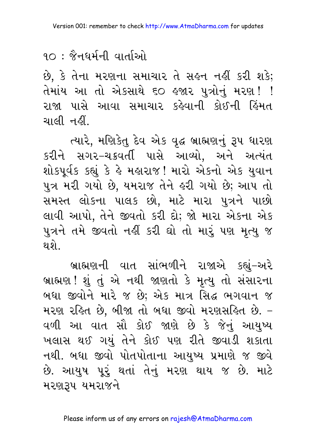#### $90:$   $\grave{8}$ नधर्मनी वार्ताઓ

છે, કે તેના મરણના સમાચાર તે સહન નહીં કરી શકે; તેમાંય આ તો એકસાથે ૬૦ હજાર પુત્રોનું મરણ!! રાજા પાસે આવા સમાચાર કહેવાની કોઈની હિંમત ચાલી નહીં.

ત્યારે, મણિકેતુ દેવ એક વૃદ્ધ બ્રાહ્મણનું રૂપ ધારણ કરીને સગર-ચક્રવર્તી પાસે આવ્યો, અને અત્યંત શોકપૂર્વક કહ્યું કે હે મહારાજ! મારો એકનો એક યુવાન પુત્ર મરી ગયો છે, યમરાજ તેને હરી ગયો છે; આપ તો સમસ્ત લોકના પાલક છો, માટે મારા પુત્રને પાછો લાવી આપો, તેને જીવતો કરી દો; જો મારા એકના એક પુત્રને તમે જીવતો નહીં કરી ઘો તો મારું પણ મૃત્યુ જ થ શે

બ્રાહ્મણની વાત સાંભળીને રાજાએ કહ્યું-અરે બ્રાહ્મણ! શું તું એ નથી જાણતો કે મૃત્યુ તો સંસારના બધા જીવોને મારે જ છે; એક માત્ર સિદ્ધ ભગવાન જ મરણ રહિત છે, બીજા તો બધા જીવો મરણસહિત છે. -વળી આ વાત સૌ કોઈ જાણે છે કે જેનું આયુષ્ય ખલાસ થઈ ગયું તેને કોઈ પણ રીતે જીવાડી શકાતા નથી. બધા જીવો પોતપોતાના આયુષ્ય પ્રમાણે જ જીવે છે. આયુષ પૂરું થતાં તેનું મરણ થાય જ છે. માટે મરણ3૫ યમરાજને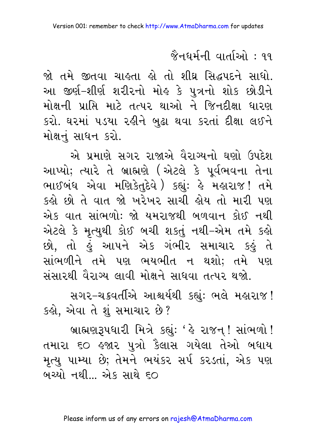#### <mark>જૈનઘર્મની વાર્તાઓ : ૧૧</mark>

જો તમે જીતવા ચાહતા હો તો શીઘ્ર સિદ્ધપદને સાધો. આ જીર્ણ-શીર્ણ શરીરનો મોલ્ કે પુત્રનો શોક છોડીને મોક્ષની પ્રાપ્તિ માટે તત્પર થાઓ ને જિનદીક્ષા ધારણ કરો. ઘરમાં ૫ડયા રહીને બુઢા થવા કરતાં દીક્ષા લઈને મોક્ષનં સાધન કરો.

એ પ્રમાણે સગર રાજાએ વૈરાગ્યનો ઘણો ઉપદેશ આપ્યો; ત્યારે તે બ્રાહ્મણે (એટલે કે પૂર્વભવના તેના ભાઈબંધ એવા મણિકેતુદેવે) કહ્યું: હે મહારાજ! તમે કહો છો તે વાત જો ખરેખર સાચી હોય તો મારી પણ એક વાત સાંભળો: જો યમરાજથી બળવાન કોઈ નથી એટલે કે મૃત્યુથી કોઈ બચી શકતું નથી-એમ તમે કહો છો, તો હું આપને એક ગંભીર સમાચાર કહું તે સાંભળીને તમે પણ ભયભીત ન થશો; તમે પણ સંસારથી વૈરાગ્ય લાવી મોક્ષને સાધવા તત્પર થજો.

સગર-ચક્રવર્તીએ આશ્ચર્યથી કહ્યું: ભલે મહારાજ! કહો, એવા તે શું સમાચાર છે?

બ્રાહ્મણરૂપધારી મિત્રે કહ્યું: ' કે રાજન! સાંભળો! તમારા ૬૦ હજાર પુત્રો કૈલાસ ગયેલા તેઓ બધાય મૃત્યુ પામ્યા છે; તેમને ભયંકર સર્પ કરડતાં, એક પણ બચ્યો નથી... એક સાથે ૬૦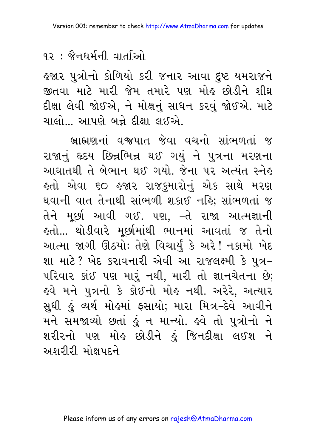હજાર પુત્રોનો કોળિયો કરી જનાર આવા દુષ્ટ યમરાજને જીતવા માટે મારી જેમ તમારે પણ મોઢ છોડીને શીઘ્ર દીક્ષા લેવી જોઈએ, ને મોક્ષનું સાધન કરવું જોઈએ. માટે ચાલો... આપણે બન્ને દીક્ષા લઈએ.

બ્રાહ્મણનાં વજપાત જેવા વચનો સાંભળતાં જ રાજાનું હૃદય છિન્નભિન્ન થઈ ગયું ને પુત્રના મરણના આઘાતથી તે બેભાન થઈ ગયો. જેના પર અત્યંત સ્નેહ હતો એવા ૬૦ હજાર રાજકુમારોનું એક સાથે મરણ થવાની વાત તેનાથી સાંભળી શકાઈ નહિ; સાંભળતાં જ તેને મૂર્છા આવી ગઈ. પણ, –તે રાજા આત્મજ્ઞાની <u> ક્લો... થોડીવારે મૂછીમાંથી ભાનમાં આવતાં જ તેનો</u> આત્મા જાગી ઊઠયોઃ તેણે વિચાર્યું કે અરે! નકામો ખેદ શા માટે? ખેદ કરાવનારી એવી આ રાજલક્ષ્મી કે પુત્ર-પરિવાર કાંઈ પણ મારું નથી, મારી તો જ્ઞાનચેતના છે; હવે મને પુત્રનો કે કોઈનો મોહ નથી. અરેરે, અત્યાર સુધી હું વ્યર્થ મોહમાં ફસાયો; મારા મિત્ર–દેવે આવીને મને સમજાવ્યો છતાં હું ન માન્યો. હવે તો પુત્રોનો ને શરીરનો પણ મોહ છોડીને હું જિનદીક્ષા લઈશ ને અશરીરી મોક્ષપદને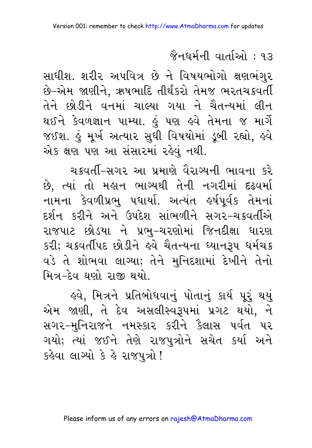સાધીશ. શરીર અપવિત્ર છે ને વિષયભોગો ક્ષણભંગુર છે–એમ જાણીને, ઋષભાદિ તીર્થંકરો તેમજ ભરતચક્રવર્તી તેને છોડીને વનમાં ચાલ્યા ગયા ને ચૈતન્યમાં લીન થઈને કેવળજ્ઞાન પામ્યા. હું પણ હવે તેમના જ માર્ગે જઈશ. હું મૂર્ખ અત્યાર સુધી વિષયોમાં ડૂબી રહ્યો, હવે એક ક્ષણ પણ આ સંસારમાં રહેવું નથી.

ચક્રવર્તી-સગર આ પ્રમાણે વૈરાગ્યની ભાવના કરે છે, ત્યાં તો મહાન ભાગ્યથી તેની નગરીમાં દઢવર્મા નામના કેવળીપ્રભુ પઘાર્યા. અત્યંત હર્ષપૂર્વક તેમનાં દર્શન કરીને અને ઉપદેશ સાંભળીને સગ૨-ચક્રવર્તીએ રાજપાટ છોડયા ને પ્રભુ–ચરણોમાં જિનદીક્ષા ધારણ કરી; ચક્રવર્તીપદ છોડીને હવે ચૈતન્યના ઘ્યાનરૂપ ધર્મચક્ર વડે તે શોભવા લાગ્યા; તેને મુનિદશામાં દેખીને તેનો મિત્ર–દેવ ઘણો રાજી થયો.

હવે, મિત્રને પ્રતિબોધવાનું પોતાનું કાર્ય પુરૂં થયું એમ જાણી, તે દેવ અસલીસ્વરૂપમાં પ્રગટ થયો, ને સગર-મુનિરાજને નમસ્કાર કરીને કૈલાસ પર્વત પર ગયો; ત્યાં જઈને તેણે રાજપુત્રોને સચેત કર્યા અને કહેવા લાગ્યો કે હે રાજપુત્રો!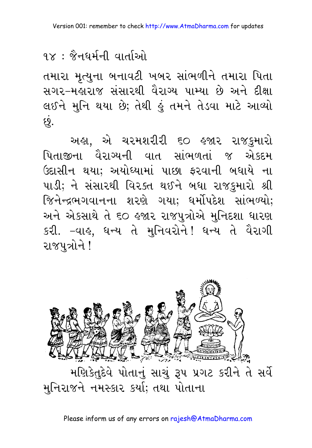#### ९ $\times$  : જૈનઘર્મની વાર્તાઓ

તમારા મૃત્યુના બનાવટી ખબર સાંભળીને તમારા પિતા સગર-મહારાજ સંસારથી વૈરાગ્ય પામ્યા છે અને દીક્ષા લઈને મુનિ થયા છે; તેથી હું તમને તેડવા માટે આવ્યો છું.

અહા. એ ચરમશરીરી ૬૦ હજાર રાજકમારો પિતાજીના વૈરાગ્યની વાત સાંભળતાં જ એકદમ ઉદાસીન થયા; અયોધ્યામાં પાછા ફરવાની બધાયે ના પાડી; ને સંસારથી વિરક્ત થઈને બધા રાજકુમારો શ્રી જિનેન્દ્રભગવાનના શરણે ગયા; ધર્મોપદેશ સાંભળ્યો; અને એકસાથે તે ૬૦ હજાર રાજપુત્રોએ મુનિદશા ધારણ કરી. –વાહ, ધન્ય તે મુનિવરોને! ધન્ય તે વૈરાગી રાજપત્રોને !

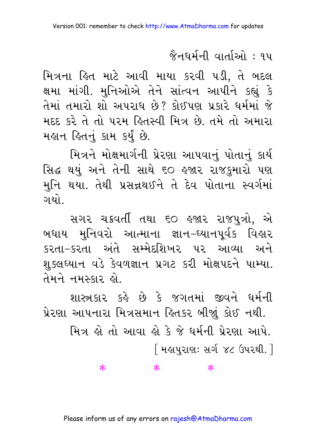મિત્રના હિત માટે આવી માયા કરવી ૫ડી, તે બદલ ક્ષમા માંગી. મુનિઓએ તેને સાંત્વન આપીને કહ્યું કે તેમાં તમારો શો અપરાધ છે? કોઈપણ પ્રકારે ધર્મમાં જે મદદ કરે તે તો પરમ હિતસ્વી મિત્ર છે. તમે તો અમારા મહાન હિતનું કામ કર્યું છે.

મિત્રને મોક્ષમાર્ગની પ્રેરણા આપવાનું પોતાનું કાર્ય સિદ્ધ થયું અને તેની સાથે ૬૦ હજાર રાજકુમારો પણ મુનિ થયા. તેથી પ્રસન્નથઈને તે દેવ પોતાના સ્વર્ગમાં ગયો.

સગર ચક્રવર્તી તથા ૬૦ હજાર રાજપુત્રો, એ બધાય મુનિવરો આત્માના જ્ઞાન–ધ્યાનપૂર્વક વિહાર કરતા–કરતા અંતે સમ્મેદશિખર પર આવ્યા અને શુક્લઘ્યાન વડે કેવળજ્ઞાન પ્રગટ કરી મોક્ષપદને પામ્યા. તેમને નમસ્કાર હો

શાસ્ત્રકાર કહે છે કે જગતમાં જીવને ઘર્મની પ્રેરણા આપનારા મિત્રસમાન હિતકર બીજાં કોઈ નથી.

> મિત્ર શે તો આવા શે કે જે ધર્મની પ્રેરણા આપે. [ મહાપરાણ: સર્ગ ૪૮ ઉપરથી. ]

> > $\ast$

#### Please inform us of any errors on rajesh@AtmaDharma.com

 $\ast$ 

 $\ast$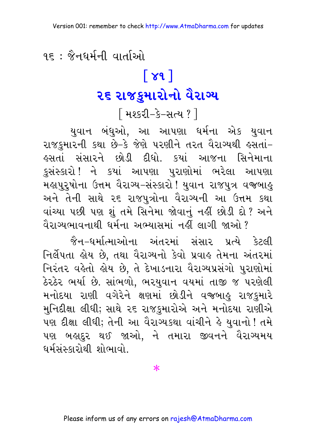<u> १६ : જૈનઘર્મની વાર્તાઓ</u>

# $\lceil 89 \rceil$ ૨૬ રાજકુમારોનો વૈરાગ્ય

<u>|</u> મશ્કરી-કે-સત્ય ? l

યુવાન બંધુઓ, આ આપણા ધર્મના એક યુવાન રાજકુમારની કથા છે−કે જેણે પરણીને તરત વૈરાગ્યથી ઙસતાં− લ્સતાં સંસારને છોડી દીધો. કયાં આજના સિનેમાના કુસંસ્કારો ! ને કયાં આપણા પુરાણોમાં ભરેલા આપણા મહાપુરૂષોના ઉત્તમ વૈરાગ્ય-સંસ્કારો ! યુવાન રાજપુત્ર વજબાહુ અને તેની સાથે ૨૬ રાજપુત્રોના વૈરાગ્યની આ ઉત્તમ કથા વાંચ્યા પછી પણ શું તમે સિનેમા જોવાનું નહીં છોડી દો? અને વૈરાગ્યભાવનાથી ધર્મના અભ્યાસમાં નહીં લાગી જાઓ ?

જૈન–ધર્માત્માઓના અંતરમાં સંસાર પ્રત્યે કેટલી નિર્લેપતા કોય છે. તથા વૈરાગ્યનો કેવો પ્રવાક તેમના અંતરમાં નિરંતર વહેતો હોય છે. તે દેખાડનારા વૈરાગ્યપ્રસંગો પુરાણોમાં ઠેરઠેર ભર્યા છે. સાંભળો, ભરયુવાન વયમાં તાજી જ પરણેલી મનોદયા રાણી વગેરેને ક્ષણમાં છોડીને વજબાહુ રાજકુમારે મુનિદીક્ષા લીધી; સાથે ૨૬ રાજકુમારોએ અને મનોદયા રાણીએ પણ દીક્ષા લીધી; તેની આ વૈરાગ્યકથા વાંચીને હે યુવાનો ! તમે પણ બહાદુર થઈ જાઓ, ને તમારા જીવનને વૈરાગ્યમય ધર્મસંસ્કારોથી શોભાવો.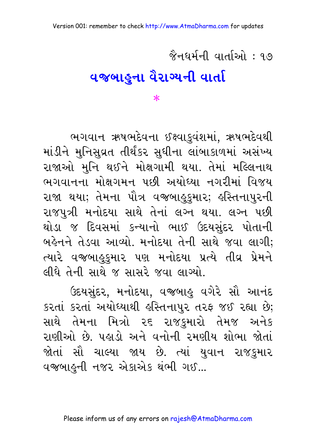# વજબાહુના વૈરાગ્યની વાર્તા

 $\ast$ 

ભગવાન ઋષભદેવના ઈક્ષ્વાકુવંશમાં, ઋષભદેવથી માંડીને મુનિસુવ્રત તીર્થંકર સુધીના લાંબાકાળમાં અસંખ્ય રાજાઓ મુનિ થઈને મોક્ષગામી થયા. તેમાં મલ્લિનાથ ભગવાનના મોક્ષગમન પછી અયોધ્યા નગરીમાં વિજય રાજા થયા; તેમના પૌત્ર વજબાહુકુમાર; હસ્તિનાપુરની રાજપુત્રી મનોદયા સાથે તેનાં લગ્ન થયા. લગ્ન પછી થોડા જ દિવસમાં કન્યાનો ભાઈ ઉદયસુંદર પોતાની બર્લ્ડનને તેડવા આવ્યો. મનોદયા તેની સાથે જવા લાગી; ત્યારે વજબાહુકુમાર પણ મનોદયા પ્રત્યે તીવ્ર પ્રેમને લીધે તેની સાથે જ સાસરે જવા લાગ્યો.

ઉદયસુંદર, મનોદયા, વજબાહુ વગેરે સૌ આનંદ કરતાં કરતાં અયોધ્યાથી હસ્તિનાપુર તરફ જઈ રહ્યા છે; સાથે તેમના મિત્રો ૨૬ રાજકમારો તેમજ અનેક રાણીઓ છે. પહાડો અને વનોની રમણીય શોભા જોતાં જોતાં સૌ ચાલ્યા જાય છે. ત્યાં યુવાન રાજકુમાર વજબાહુની નજર એકાએક થંભી ગઈ...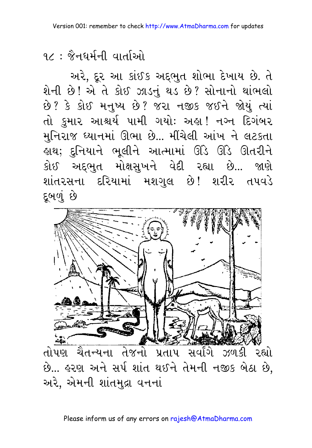અરે, દૂર આ કાંઈક અદ્દભુત શોભા દેખાય છે. તે શેની છે! એ તે કોઈ ઝાડનું થડ છે? સોનાનો થાંભલો છે? કે કોઈ મનુષ્ય છે? જરા નજીક જઈને જોયું ત્યાં તો કુમાર આશ્ચર્ય પામી ગયોઃ અહ્ય! નગ્ન દિગંબર મુનિરાજ ઘ્યાનમાં ઊભા છે... મીંચેલી આંખ ને લટકતા હાથ; દુનિયાને ભૂલીને આત્મામાં ઊંડે ઊંડે ઊતરીને કોઈ અદ્દભુત મોક્ષસુખને વેદી રહ્યા છે... જાણે શાંતરસના દરિયામાં મશગુલ છે! શરીર તપવડે દૂબળું છે

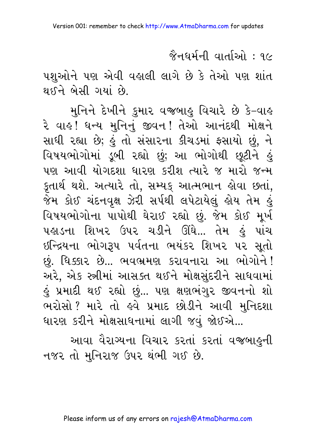<u> જૈનધર્મની વાર્તાઓ : ૧૯</u>

પશુઓને પણ એવી વહાલી લાગે છે કે તેઓ પણ શાંત थर्धने બેસी ગયાં છે.

મુનિને દેખીને કુમાર વજબાહુ વિચારે છે કે–વાહ રે વાહ! ધન્ય મુનિનું જીવન! તેઓ આનંદથી મોક્ષને સાધી રહ્યા છે; હું તો સંસારના કીચડમાં ફસાયો છું, ને વિષયભોગોમાં ડૂબી રહ્યો છું; આ ભોગોથી છૂટીને હું પણ આવી યોગદશા ધારણ કરીશ ત્યારે જ મારો જન્મ કુતાર્થ થશે. અત્યારે તો, સમ્યક આત્મભાન હોવા છતાં, જેમ કોઈ ચંદનવૃક્ષ ઝેરી સર્પથી લપેટાયેલું હોય તેમ હું વિષયભોગોના પાપોથી ઘેરાઈ રહ્યો છું. જેમ કોઈ મૂર્ખ પહાડના શિખર ઉપર ચડીને ઊંઘે... તેમ હું પાંચ ઇન્દ્રિયના ભોગરૂપ પર્વતના ભયંકર શિખર પર સૂતો છું. ધિક્કાર છે... ભવભ્રમણ કરાવનારા આ ભોગોને! અરે, એક સ્ત્રીમાં આસક્ત થઈને મોક્ષસુંદરીને સાધવામાં હું પ્રમાદી થઈ રહ્યો છું... પણ ક્ષણભંગુર જીવનનો શો ભરોસો ? મારે તો હવે પ્રમાદ છોડીને આવી મુનિદશા ધારણ કરીને મોક્ષસાધનામાં લાગી જવું જોઈએ...

આવા વૈરાગ્યના વિચાર કરતાં કરતાં વજબાહુની નજર તો મુનિરાજ ઉપર થંભી ગઈ છે.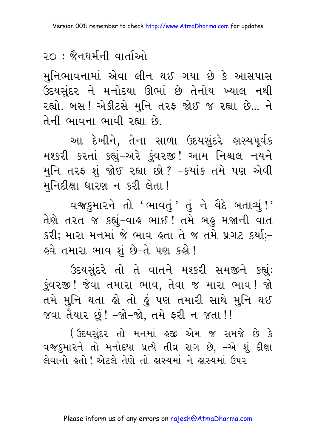મુનિભાવનામાં એવા લીન થઈ ગયા છે કે આસપાસ ઉદયસુંદર ને મનોદયા ઊભાં છે તેનોય ખ્યાલ નથી રહ્યો. બસ ! એકીટસે મુનિ તરફ જોઈ જ રહ્યા છે... ને तेनी ભावना ભावी रह्या છે.

આ દેખીને. તેના સાળા ઉદયસંદરે હાસ્યપર્વક મશ્કરી કરતાં કહ્યું-અરે કુંવરજી! આમ નિશ્ચલ નયને મુનિ તરફ શું જોઈ રહ્યા છો? –કયાંક તમે પણ એવી મુનિદીક્ષા ધારણ ન કરી લેતા !

વજકુમારને તો 'ભાવતું' તું ને વૈદે બતાવ્યું!' તેણે તરત જ કહ્યું-વાહ ભાઈ ! તમે બહુ મજાની વાત કરી; મારા મનમાં જે ભાવ હતા તે જ તમે પ્રગટ કર્યા;– હવે તમારા ભાવ શું છે−તે પણ કહો !

ઉદયસંદરે તો તે વાતને મશ્કરી સમજીને કહ્યું: કુંવરજી! જેવા તમારા ભાવ, તેવા જ મારા ભાવ! જો તમે મુનિ થતા હો તો હું પણ તમારી સાથે મુનિ થઈ જવા તૈયાર છું! –જો–જો, તમે ફરી ન જતા!!

(ઉદયસંદર તો મનમાં ઙ્જી એમ જ સમજે છે કે વજકમારને તો મનોદયા પ્રત્યે તીવ્ર રાગ છે. -એ શું દીક્ષા લેવાનો હતો ! એટલે તેણે તો હાસ્યમાં ને હાસ્યમાં ઉપર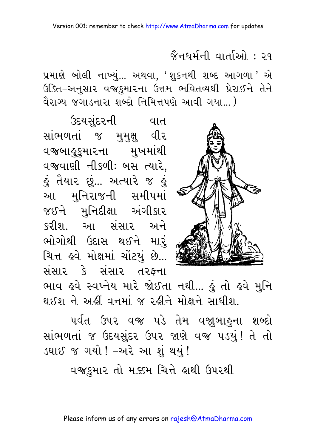#### <mark>જૈનઘર્મની વાર્તાઓ : २</mark>१

પ્રમાણે બોલી નાખ્યં... અથવા, 'શકનથી શબ્દ આગળા ' એ ઉક્તિ-અનુસાર વજ્રકુમારના ઉત્તમ ભવિતવ્યથી પ્રેરાઈને તેને વૈરાગ્ય જગાડનારા શબ્દો નિમિત્તપણે આવી ગયા... )



ઉદયસુંદરની ા વાત સાંભળતાં જ મુમુક્ષુ વીર વજબાહૂકુમારના મુખમાંથી વજવાણી નીકળી: બસ ત્યારે, <u>હું</u> તૈયાર છું... અત્યારે જ હું આ મુનિરાજની સમીપમાં જઈને મુનિદીક્ષા અંગીકાર કરીશ આ સંસાર અને ભોગોથી ઉદાસ થઈને મારં ચિત્ત હવે મોક્ષમાં ચોંટયું છે... સંસાર કે સંસાર તરફના

ભાવ હવે સ્વખ્તેય મારે જોઈતા નથી... હું તો હવે મુનિ થઈશ ને અહીં વનમાં જ રહીને મોક્ષને સાધીશ.

પર્વત ઉપર વજ્ર પડે તેમ વજા઼બાઙ્ના શબ્દો સાંભળતાં જ ઉદયસુંદર ઉપર જાણે વજી ૫ડયું! તે તો ડઘાઈ જ ગયો ! –અરે આ શું થયું !

વજકમાર તો મક્કમ ચિત્તે હાથી ઉપરથી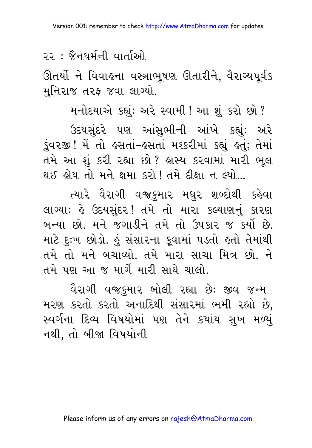ઊતર્યો ને વિવાહના વસ્ત્રાભૂષણ ઊતારીને, વૈરાગ્યપૂર્વક મુનિરાજ તરફ જવા લાગ્યો.

મનોદયાએ કહ્યું: અરે સ્વામી ! આ શું કરો છો ? ઉદયસંદરે પણ આંસભીની આંખે કહ્યું: અરે કુંવરજી ! મેં તો હસતાં-હસતાં મશ્કરીમાં કહ્યું હતું; તેમાં તમે આ શું કરી રહ્યા છો? હાસ્ય કરવામાં મારી ભૂલ થઈ હોય તો મને ક્ષમા કરો ! તમે દીક્ષા ન લ્યો...

ત્યારે વૈરાગી વજકુમાર મધુર શબ્દોથી કહેવા લાગ્યાઃ હે ઉદયસુંદર! તમે તો મારા કલ્યાણનું કારણ બન્યા છો. મને જગાડીને તમે તો ઉપકાર જ કર્યો છે. માટે દુઃખ છોડો. હું સંસારના કૂવામાં ૫ડતો હતો તેમાંથી તમે તો મને બચાવ્યો. તમે મારા સાચા મિત્ર છો. ને તમે પણ આ જ માર્ગે મારી સાથે ચાલો

વૈરાગી વજકુમાર બોલી રહ્યા છેઃ જીવ જન્મ– મરણ કરતો-કરતો અનાદિથી સંસારમાં ભમી રહ્યો છે, સ્વર્ગના દિવ્ય વિષયોમાં પણ તેને કયાંય સુખ મળ્યું નથી. તો બીજા વિષયોની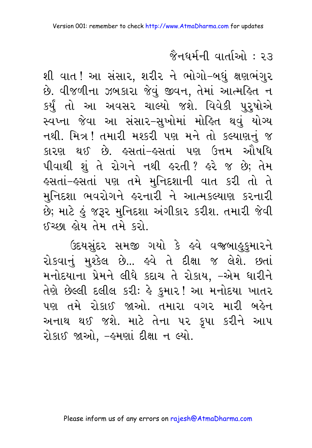શી વાત ! આ સંસાર, શરીર ને ભોગો–બધું ક્ષણભંગુર છે. વીજળીના ઝબકારા જેવું જીવન, તેમાં આત્મહિત ન કર્યું તો આ અવસર ચાલ્યો જશે. વિવેકી પુરૂષોએ સ્વપ્ના જેવા આ સંસાર-સુખોમાં મોહિત થવું યોગ્ય નથી. મિત્ર! તમારી મશ્કરી પણ મને તો કલ્યાણનું જ કારણ થઈ છે. હસતાં–હસતાં પણ ઉત્તમ ઔષધિ પીવાથી શું તે રોગને નથી હરતી? હરે જ છે; તેમ હસતાં-હસતાં પણ તમે મુનિદશાની વાત કરી તો તે મુનિદશા ભવરોગને હરનારી ને આત્મકલ્યાણ કરનારી છે; માટે હું જરૂર મુનિદશા અંગીકાર કરીશ. તમારી જેવી ઈચ્છા હોય તેમ તમે કરો.

ઉદયસુંદર સમજી ગયો કે હવે વજબાહુકુમારને રોકવાનું મશ્કેલ છે... હવે તે દીક્ષા જ લેશે. છતાં મનોદયાના પ્રેમને લીધે કદાચ તે રોકાય, –એમ ધારીને તેણે છેલ્લી દલીલ કરીઃ હે કુમાર! આ મનોદયા ખાતર પણ તમે રોકાઈ જાઓ. તમારા વગર મારી બહેન અનાથ થઈ જશે. માટે તેના પર કૃપા કરીને આપ રોકાઈ જાઓ. -હમણાં દીક્ષા ન લ્યો.

#### Please inform us of any errors on rajesh@AtmaDharma.com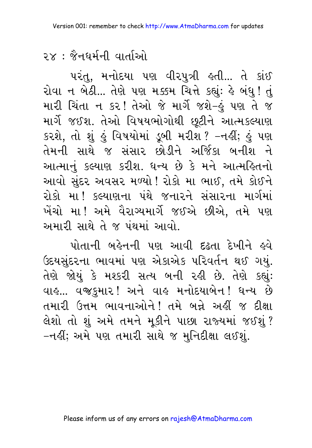પરંતુ, મનોદયા પણ વીરપુત્રી હતી... તે કાંઈ રોવા ન બેઠી... તેણે પણ મક્કમ ચિત્તે કહ્યું: હે બંધુ ! તું મારી ચિંતા ન કર! તેઓ જે માર્ગે જશે–હું પણ તે જ માર્ગે જઈશ. તેઓ વિષયભોગોથી છૂટીને આત્મકલ્યાણ કરશે, તો શું હું વિષયોમાં ડૂબી મરીશ ? –નહીં; હું પણ તેમની સાથે જ સંસાર છોડીને અર્જિકા બનીશ ને આત્માનું કલ્યાણ કરીશ. ધન્ય છે કે મને આત્મહિતનો આવો સુંદર અવસર મળ્યો ! રોકો મા ભાઈ, તમે કોઈને રોકો મા! કલ્યાણના પંથે જનારને સંસારના માર્ગમાં ખેંચો મા! અમે વૈરાગ્યમાર્ગે જઈએ છીએ, તમે પણ અમારી સાથે તે જ પંથમાં આવો.

પોતાની બહેનની પણ આવી દઢતા દેખીને હવે ઉદયસુંદરના ભાવમાં પણ એકાએક પરિવર્તન થઈ ગયું. તેણે જોયું કે મશ્કરી સત્ય બની રહી છે. તેણે કહ્યું: વાહ... વજઙુમાર! અને વાહ મનોદયાબેન! ધન્ય છે તમારી ઉત્તમ ભાવનાઓને! તમે બન્ને અહીં જ દીક્ષા લેશો તો શું અમે તમને મૂકીને પાછા રાજ્યમાં જઈશું? –નહીં; અમે પણ તમારી સાથે જ મુનિદીક્ષા લઈશું.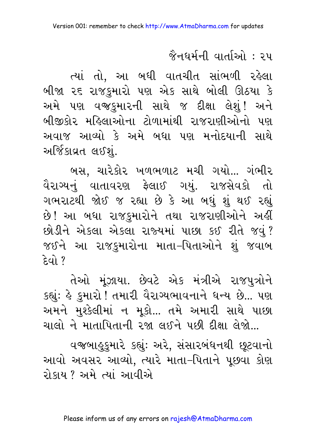ત્યાં તો, આ બધી વાતચીત સાંભળી રહેલા બીજા ૨૬ રાજકુમારો પણ એક સાથે બોલી ઊઠયા કે અમે પણ વજ્ઙુમારની સાથે જ દીક્ષા લેશું! અને બીજીકોર મહિલાઓના ટોળામાંથી રાજરાણીઓનો પણ અવાજ આવ્યો કે અમે બધા પણ મનોદયાની સાથે અર્જિકાવ્રત લઈશં.

બસ, ચારેકોર ખળભળાટ મચી ગયો... ગંભીર વૈરાગ્યનું વાતાવરણ ફેલાઈ ગયું. રાજસેવકો તો ગભરાટથી જોઈ જ રહ્યા છે કે આ બધું શું થઈ રહ્યું છે! આ બધા રાજકુમારોને તથા રાજરાણીઓને અહીં છોડીને એકલા એકલા રાજ્યમાં પાછા કઈ રીતે જવું? જઈને આ રાજકુમારોના માતા–પિતાઓને શું જવાબ  $\approx$   $\approx$   $\approx$ 

તેઓ મુંઝાયા. છેવટે એક મંત્રીએ રાજપુત્રોને કહ્યું: હે કુમારો ! તમારી વૈરાગ્યભાવનાને ધન્ય છે... પણ અમને મુશ્કેલીમાં ન મૂકો... તમે અમારી સાથે પાછા ચાલો ને માતાપિતાની રજા લઈને પછી દીક્ષા લેજો...

વજબાહુકુમારે કહ્યું: અરે, સંસારબંધનથી છૂટવાનો આવો અવસર આવ્યો, ત્યારે માતા–પિતાને પૂછવા કોણ રોકાય ? અમે ત્યાં આવીએ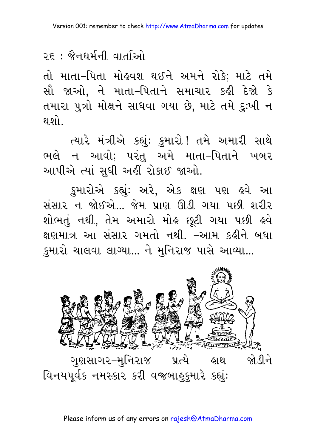તો માતા–પિતા મોહવશ થઈને અમને રોકે; માટે તમે સૌ જાઓ. ને માતા–પિતાને સમાચાર કહી દેજો કે તમારા પુત્રો મોક્ષને સાધવા ગયા છે, માટે તમે દુઃખી ન થશો

ત્યારે મંત્રીએ કહ્યું: કુમારો! તમે અમારી સાથે ભલે ન આવો; પરંતુ અમે માતા-પિતાને ખબર આપીએ ત્યાં સુધી અહીં રોકાઈ જાઓ.

કુમારોએ કહ્યું: અરે, એક ક્ષણ પણ હવે આ સંસાર ન જોઈએ... જેમ પ્રાણ ઊડી ગયા પછી શરીર શોભતું નથી, તેમ અમારો મોલ્ છૂટી ગયા પછી હવે ક્ષણમાત્ર આ સંસાર ગમતો નથી. –આમ કઢીને બધા કુમારો ચાલવા લાગ્યા... ને મુનિરાજ પાસે આવ્યા...

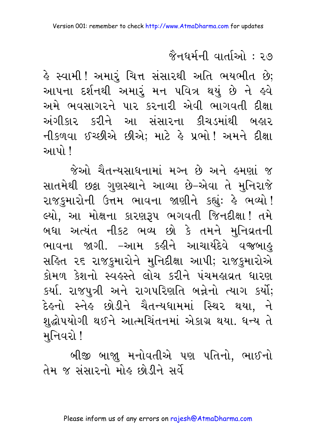હે સ્વામી! અમારૂં ચિત્ત સંસારથી અતિ ભયભીત છે; આપના દર્શનથી અમારું મન પવિત્ર થયું છે ને હવે અમે ભવસાગરને પાર કરનારી એવી ભાગવતી દીક્ષા અંગીકાર કરીને આ સંસારના કીચડમાંથી બહાર નીકળવા ઈચ્છીએ છીએ; માટે હે પ્રભો! અમને દીક્ષા <u>આપો !</u>

જેઓ ચૈતન્યસાધનામાં મગ્ન છે અને હમણાં જ સાતમેથી છક્રા ગુણસ્થાને આવ્યા છે–એવા તે મુનિરાજે રાજકુમારોની ઉત્તમ ભાવના જાણીને કહ્યું: હે ભવ્યો! લ્યો, આ મોક્ષના કારણરૂપ ભગવતી જિનદીક્ષા! તમે બધા અત્યંત નીકટ ભવ્ય છો કે તમને મુનિવ્રતની ભાવના જાગી. –આમ કહીને આચાર્યદેવે વજબાહુ સહિત ૨૬ રાજકમારોને મનિદીક્ષા આપી; રાજકમારોએ કોમળ કેશનો સ્વહસ્તે લોચ કરીને પંચમહાવ્રત ધારણ કર્યા. રાજપુત્રી અને રાગપરિણતિ બન્નેનો ત્યાગ કર્યો; દેઙ્નો સ્નેઙ છોડીને ચૈતન્યધામમાં સ્થિર થયા, ને શુદ્ધોપયોગી થઈને આત્મચિંતનમાં એકાગ્ર થયા. ધન્ય તે મનિવરો !

બીજી બાજા મનોવતીએ પણ પતિનો, ભાઈનો તેમ જ સંસારનો મોઢ છોડીને સર્વે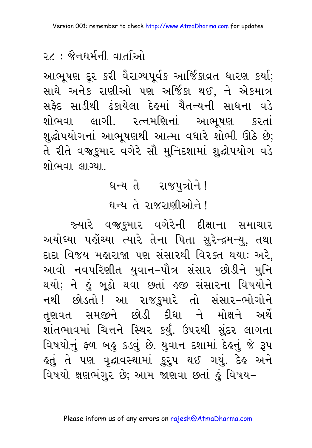આભૂષણ દૂર કરી વૈરાગ્યપૂર્વક આર્જિકાવ્રત ધારણ કર્યા; સાથે અનેક રાણીઓ પણ અર્જિકા થઈ, ને એકમાત્ર સફેદ સાડીથી ઢંકાયેલા દેહમાં ચૈતન્યની સાધના વડે શોભવા લાગી. રત્નમણિનાં આભષણ કરતાં શુદ્ધોપયોગનાં આભૂષણથી આત્મા વધારે શોભી ઊઠે છે; તે રીતે વજ્રકુમાર વગેરે સૌ મુનિદશામાં શુદ્ધોપયોગ વડે શોભવા લાગ્યા.

# ધન્ય તે રાજપુત્રોને! धन्य ते राજરाણीઓને !

જ્યારે વજઙુમાર વગેરેની દીક્ષાના સમાચાર અયોધ્યા પહોંચ્યા ત્યારે તેના પિતા સુરેન્દ્રમન્યુ, તથા દાદા વિજય મહારાજા પણ સંસારથી વિરક્ત થયાઃ અરે, આવો નવપરિણીત યુવાન–પૌત્ર સંસાર છોડીને મુનિ થયો; ને હું બૂઢો થવા છતાં હજી સંસારના વિષયોને નથી છોડતો! આ રાજકુમારે તો સંસાર–ભોગોને તુણવત સમજીને છોડી દીધા ને મોક્ષને અર્થે શાંતભાવમાં ચિત્તને સ્થિર કર્યું. ઉપરથી સુંદર લાગતા વિષયોનું ફળ બહુ કડવું છે. યુવાન દશામાં દેહનું જે રૂપ હતું તે પણ વૃદ્ધાવસ્થામાં <u>ક</u>ુરુપ થઈ ગયું. દેહ અને વિષયો ક્ષણભંગર છે; આમ જાણવા છતાં કું વિષય-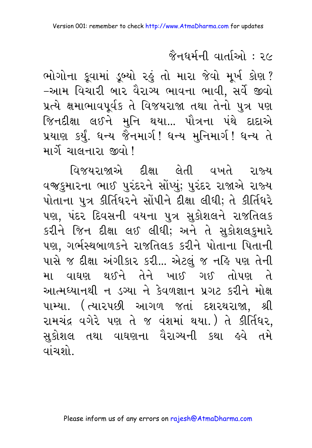ભોગોના કૂવામાં ડૂબ્યો રહું તો મારા જેવો મૂર્ખ કોણ? -આમ વિચારી બાર વૈરાગ્ય ભાવના ભાવી, સર્વે જીવો પ્રત્યે ક્ષમાભાવપૂર્વક તે વિજયરાજા તથા તેનો પુત્ર પણ જિનદીક્ષા લઈને મુનિ થયા... પૌત્રના પંથે દાદાએ પ્રયાણ કર્યું. ધન્ય જૈનમાર્ગ! ધન્ય મુનિમાર્ગ! ધન્ય તે માર્ગે ચાલનારા જીવો !

વિજયરાજાએ દીક્ષા લેતી વખતે રાજ્ય વજકુમારના ભાઈ પુરંદરને સોંપ્યું; પુરંદર રાજાએ રાજ્ય પોતાના પુત્ર કીર્તિધરને સોંપીને દીક્ષા લીધી; તે કીર્તિધરે પણ, પંદર દિવસની વયના પુત્ર સુકોશલને રાજતિલક કરીને જિન દીક્ષા લઈ લીધી; અને તે સુકોશલકુમારે પણ, ગર્ભસ્થબાળકને રાજતિલક કરીને પોતાના પિતાની પાસે જ દીક્ષા અંગીકાર કરી... એટલું જ નહિ પણ તેની મા વાઘણ થઈને તેને ખાઈ ગઈ તોપણ તે આત્મઘ્યાનથી ન ડગ્યા ને કેવળજ્ઞાન પ્રગટ કરીને મોક્ષ પામ્યા. (ત્યારપછી આગળ જતાં દશરથરાજા, શ્રી રામચંદ્ર વગેરે પણ તે જ વંશમાં થયા.) તે કીર્તિધર, સુકોશલ તથા વાઘણના વૈરાગ્યની કથા હવે તમે <u>વાંચશો.</u>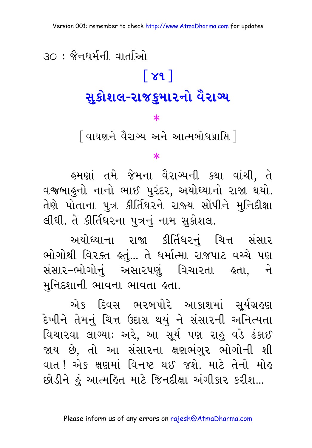# ૩૦ : જૈનઘર્મની વાર્તાઓ  $\lceil 8d \rceil$ સુકોશલ-રાજકુમારનો વૈરાગ્ય

 $\ast$ 

[ વાઘણને વૈરાગ્ય અને આત્મબોધપ્રાપ્તિ ]

∗

હુમણાં તમે જેમના વૈરાગ્યની કથા વાંચી, તે વજબાહુનો નાનો ભાઈ પુરંદર, અયોધ્યાનો રાજા થયો. તેણે પોતાના પુત્ર કીર્તિધરને રાજ્ય સોંપીને મુનિદીક્ષા લીધી. તે કીર્તિધરના પુત્રનું નામ સુકોશલ.

અયોધ્યાના રાજા કીર્તિધરનું ચિત્ત સંસાર ભોગોથી વિરક્ત હતું... તે ધર્માત્મા રાજપાટ વચ્ચે પણ સંસાર-ભોગોનું અસારપણું વિચારતા ક્રતા, ને મુનિદશાની ભાવના ભાવતા હતા.

એક દિવસ ભરબપોરે આકાશમાં સૂર્યગ્રહણ દેખીને તેમનું ચિત્ત ઉદાસ થયું ને સંસારની અનિત્યતા વિચારવા લાગ્યાઃ અરે, આ સૂર્ય પણ રાહુ વડે ઢંકાઈ જાય છે, તો આ સંસારના ક્ષણભંગુર ભોગોની શી વાત ! એક ક્ષણમાં વિનષ્ટ થઈ જશે. માટે તેનો મોહ છોડીને હું આત્મહિત માટે જિનદીક્ષા અંગીકાર કરીશ...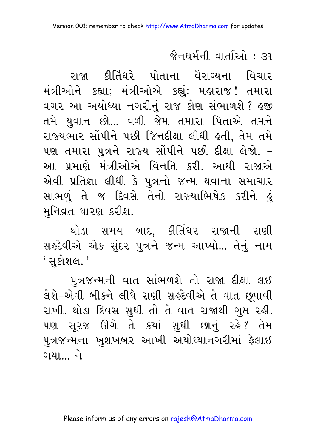રાજા કીર્તિધરે પોતાના વૈરાગ્યના વિચાર મંત્રીઓને કહ્યા; મંત્રીઓએ કહ્યું: મહારાજ! તમારા વગર આ અયોધ્યા નગરીનું રાજ કોણ સંભાળશે ? હજી તમે યુવાન છો... વળી જેમ તમારા પિતાએ તમને રાજ્યભાર સોંપીને પછી જિનદીક્ષા લીધી હતી, તેમ તમે પણ તમારા પુત્રને રાજ્ય સોંપીને પછી દીક્ષા લેજો. – આ પ્રમાણે મંત્રીઓએ વિનતિ કરી. આથી રાજાએ એવી પ્રતિજ્ઞા લીધી કે પુત્રનો જન્મ થવાના સમાચાર સાંભળું તે જ દિવસે તેનો રાજ્યાભિષેક કરીને હું મુનિવ્રત ધારણ કરીશ.

થોડા સમય બાદ. કીર્તિધર રાજાની રાણી સર્લ્ડવીએ એક સુંદર પુત્રને જન્મ આપ્યો... તેનું નામ <u>'સકોશલ.'</u>

પુત્રજન્મની વાત સાંભળશે તો રાજા દીક્ષા લઈ લેશે-એવી બીકને લીધે રાણી સર્લ્ડવીએ તે વાત છુપાવી રાખી. થોડા દિવસ સુધી તો તે વાત રાજાથી ગુપ્ત રહી. પણ સૂરજ ઊગે તે કયાં સુધી છાનું રહે? તેમ પુત્રજન્મના ખુશખબર આખી અયોધ્યાનગરીમાં ફેલાઈ ગયા… ને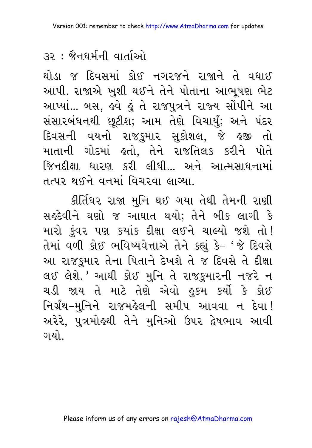થોડા જ દિવસમાં કોઈ નગરજને રાજાને તે વધાઈ આપી. રાજાએ ખુશી થઈને તેને પોતાના આભૂષણ ભેટ આપ્યાં... બસ, હવે હું તે રાજપુત્રને રાજ્ય સોંપીને આ સંસારબંધનથી છૂટીશ; આમ તેણે વિચાર્યું; અને પંદર દિવસની વયનો રાજકુમાર સુકોશલ, જે હજી તો માતાની ગોદમાં કતો. તેને રાજતિલક કરીને પોતે જિનદીક્ષા ધારણ કરી લીધી… અને આત્મસાધનામાં તત્પર થઈને વનમાં વિચરવા લાગ્યા.

કીર્તિધર રાજા મુનિ થઈ ગયા તેથી તેમની રાણી સર્લ્ડદેવીને ઘણો જ આઘાત થયો; તેને બીક લાગી કે મારો કુંવર પણ કયાંક દીક્ષા લઈને ચાલ્યો જશે તો! તેમાં વળી કોઈ ભવિષ્યવેત્તાએ તેને કહ્યું કે- 'જે દિવસે આ રાજકુમાર તેના પિતાને દેખશે તે જ દિવસે તે દીક્ષા લઈ લેશે.' આથી કોઈ મુનિ તે રાજકુમારની નજરે ન ચડી જાય તે માટે તેણે એવો હુકમ કર્યો કે કોઈ નિર્ગ્રંથ-મુનિને રાજમહેલની સમીપ આવવા ન દેવા! અરેરે, પુત્રમોહથી તેને મુનિઓ ઉપર દ્વેષભાવ આવી ગયો

#### Please inform us of any errors on rajesh@AtmaDharma.com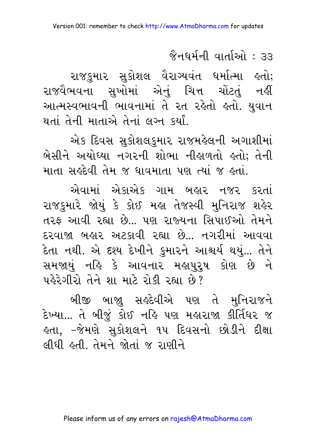જૈનધર્મની વાર્તાઓ : ૩૩

રાજકુમાર સુકોશલ વૈરાગ્યવંત ધર્માત્મા હતો; રાજવૈભવના સુખોમાં એનું ચિત્ત ચોંટતું નહીં આત્મસ્વભાવની ભાવનામાં તે રત રહેતો હતો. યુવાન થતાં તેની માતાએ તેનાં લગ્ન કર્યાં.

એક દિવસ સુકોશલકુમાર રાજમહેલની અગાશીમાં બેસીને અયોધ્યા નગરની શોભા નીહાળતો હતો; તેની માતા સર્કદેવી તેમ જ ધાવમાતા પણ ત્યાં જ કતાં.

એવામાં એકાએક ગામ બહાર નજર કરતાં રાજકુમારે જોયું કે કોઈ મહા તેજસ્વી મુનિરાજ શહેર તરફ આવી રહ્યા છે... પણ રાજ્યના સિપાઈઓ તેમને દરવાજા બહાર અટકાવી રહ્યા છે. નગરીમાં આવવા દેતા નથી. એ દશ્ય દેખીને કુમારને આશ્ચર્ય થયું... તેને સમજાયું નહિ કે આવનાર મહાપુરૂષ કોણ છે ને પહેરેગીરો તેને શા માટે રોકી રહ્યા છે?

બીજી બાજાુ સર્લ્ડેવીએ પણ તે મુનિરાજને દેખ્યા... તે બીજું કોઈ નહિ પણ મહારાજા કીર્તિધર જ લ્તા, −જેમણે સુકોશલને ૧૫ દિવસનો છોડીને દીક્ષા લીધી હતી તેમને જોતાં જ રાણીને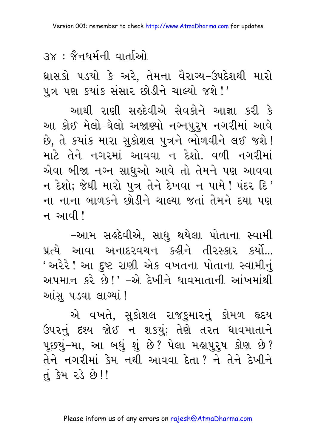## .३x : જૈનઘર્મની વાર્તાઓ

ઘ્રાસકો પડયો કે અરે, તેમના વૈરાગ્ય–ઉપદેશથી મારો પુત્ર પણ કયાંક સંસાર છોડીને ચાલ્યો જશે!'

આથી રાણી સર્કદેવીએ સેવકોને આજ્ઞા કરી કે આ કોઈ મેલો–ઘેલો અજાણ્યો નગ્નપુર્ષ નગરીમાં આવે છે, તે કયાંક મારા સુકોશલ પુત્રને ભોળવીને લઈ જશે! માટે તેને નગરમાં આવવા ન દેશો. વળી નગરીમાં એવા બીજા નગ્ન સાધુઓ આવે તો તેમને પણ આવવા ન દેશો; જેથી મારો પુત્ર તેને દેખવા ન પામે ! પંદર દિ ' ના નાના બાળકને છોડીને ચાલ્યા જતાં તેમને દયા પણ <u>ન આવી!</u>

–આમ સર્લ્ડવીએ, સાધુ થયેલા પોતાના સ્વામી પ્રત્યે આવા અનાદરવચન કહીને તીરસ્કાર કર્યો... ' અરેરે ! આ દ્દષ્ટ રાણી એક વખતના પોતાના સ્વામીનું અપમાન કરે છે!' –એ દેખીને ધાવમાતાની આંખમાંથી આંસૂ ૫ડવા લાગ્યાં !

એ વખતે, સુકોશલ રાજકુમારનું કોમળ હૃદય ઉપરનું દશ્ય જોઈ ન શકયું; તેણે તરત ધાવમાતાને પૂછયું–મા, આ બઘું શું છે? પેલા મહાપુરૂષ કોણ છે? તેને નગરીમાં કેમ નથી આવવા દેતા? ને તેને દેખીને  $d$   $\overline{3}H$   $2\overline{3}$   $\overline{8}$  !!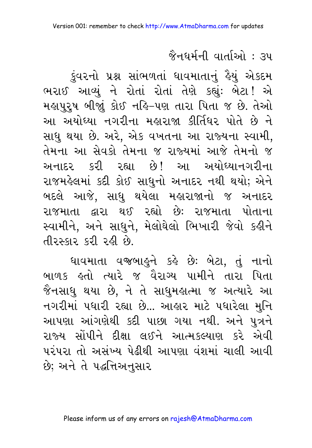#### જૈનધર્મની વાર્તાઓ : ૩૫

ડુંવરનો પ્રશ્ન સાંભળતાં ધાવમાતાનું હૈયું એકદમ ભરાઈ આવ્યું ને રોતાં રોતાં તેણે કહ્યું: બેટા! એ મહાપુરૂષ બીજાું કોઈ નહિ-પણ તારા પિતા જ છે. તેઓ આ અયોધ્યા નગરીના મહારાજા કીર્તિધર પોતે છે ને સાધુ થયા છે. અરે, એક વખતના આ રાજ્યના સ્વામી, તેમના આ સેવકો તેમના જ રાજ્યમાં આજે તેમનો જ અનાદર કરી રહ્યા છે! આ અયોધ્યાનગરીના રાજમહેલમાં કદી કોઈ સાધુનો અનાદર નથી થયો; એને બદલે આજે. સાધુ થયેલા મહારાજાનો જ અનાદર રાજમાતા દ્વારા થઈ રહ્યો છેઃ રાજમાતા પોતાના સ્વામીને, અને સાધુને, મેલોઘેલો ભિખારી જેવો કહીને તીરસ્કાર કરી રહી છે.

ધાવમાતા વજબાહુને કહે છે: બેટા, તું નાનો બાળક હતો ત્યારે જ વૈરાગ્ય પામીને તારા પિતા જૈનસાધુ થયા છે, ને તે સાધુમહાત્મા જ અત્યારે આ નગરીમાં પધારી રહ્યા છે... આહાર માટે પધારેલા મુનિ આપણા આંગણેથી કદી પાછા ગયા નથી. અને પુત્રને રાજ્ય સોંપીને દીક્ષા લઈને આત્મકલ્યાણ કરે એવી પરંપરા તો અસંખ્ય પેઢીથી આપણા વંશમાં ચાલી આવી છે: અને તે પદ્ધત્તિઅનસાર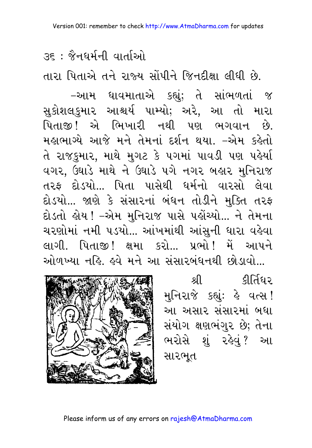उह : જૈનઘર્મની વાર્તાઓ

તારા પિતાએ તને રાજ્ય સોંપીને જિનદીક્ષા લીધી છે.

–આમ ધાવમાતાએ કહ્યું; તે સાંભળતાં જ સુકોશલકુમાર આશ્ચર્ય પામ્યો; અરે, આ તો મારા પિતાજી! એ ભિખારી નથી પણ ભગવાન છે. મહાભાગ્યે આજે મને તેમનાં દર્શન થયા. –એમ કહેતો તે રાજકુમાર, માથે મુગટ કે પગમાં પાવડી પણ પહેર્યા વગર, ઉઘાડે માથે ને ઉઘાડે પગે નગર બહાર મુનિરાજ તરફ દોડયો... પિતા પાસેથી ધર્મનો વારસો લેવા દોડયો... જાણે કે સંસારનાં બંધન તોડીને મુક્તિ તરફ દોડતો ક્ષેય ! –એમ મુનિરાજ પાસે પર્કોચ્યો... ને તેમના ચરણોમાં નમી ૫ડયો... આંખમાંથી આંસુની ધારા વહેવા લાગી. પિતાજી! ક્ષમા કરો... પ્રભો! મેં આપને ઓળખ્યા નહિ હવે મને આ સંસારબંધનથી છોડાવો



શ્રી ક્રીર્તિધર મુનિરાજે કહ્યું: હે વત્સ! આ અસાર સંસારમાં બધા સંયોગ ક્ષણભંગુર છે; તેના ભરોસે શું રહેવું? આ સારભૂત

Please inform us of any errors on rajesh@AtmaDharma.com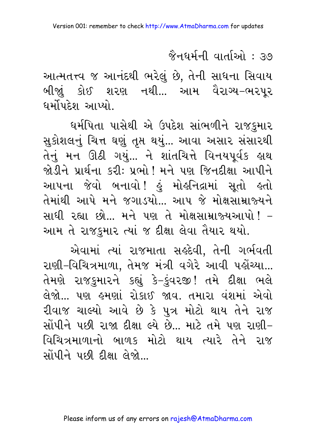જૈનઘર્મની વાર્તાઓ : ૩૭

આત્મતત્ત્વ જ આનંદથી ભરેલું છે, તેની સાધના સિવાય બીજા઼ં કોઈ શરણ નથી... આમ વૈરાગ્ય–ભરપૂર ઘર્મોપદેશ આપ્યો.

ધર્મપિતા પાસેથી એ ઉપદેશ સાંભળીને રાજકુમાર સુકોશલનું ચિત્ત ઘણું તૃપ્ત થયું... આવા અસાર સંસારથી તેનું મન ઊઠી ગયું... ને શાંતચિત્તે વિનયપૂર્વક હાથ જોડીને પ્રાર્થના કરી: પ્રભો ! મને પણ જિનદીક્ષા આપીને આપના જેવો બનાવો! હું મોહનિદ્રામાં સૂતો હતો તેમાંથી આપે મને જગાડયો... આપ જે મોક્ષસામ્રાજ્યને સાધી રહ્યા છો... મને પણ તે મોક્ષસામ્રાજ્યઆપો! – આમ તે રાજકુમાર ત્યાં જ દીક્ષા લેવા તૈયાર થયો.

એવામાં ત્યાં રાજમાતા સર્લ્ડવી, તેની ગર્ભવતી રાણી-વિચિત્રમાળા, તેમજ મંત્રી વગેરે આવી પહોંચ્યા... તેમણે રાજકુમારને કહ્યું કે-કુંવરજી! તમે દીક્ષા ભલે લેજો… પણ હમણાં રોકાઈ જાવ. તમારા વંશમાં એવો રીવાજ ચાલ્યો આવે છે કે પુત્ર મોટો થાય તેને રાજ સોંપીને પછી રાજા દીક્ષા લ્યે છે... માટે તમે પણ રાણી-વિચિત્રમાળાનો બાળક મોટો થાય ત્યારે તેને રાજ સોંપીને પછી દીક્ષા લેજો...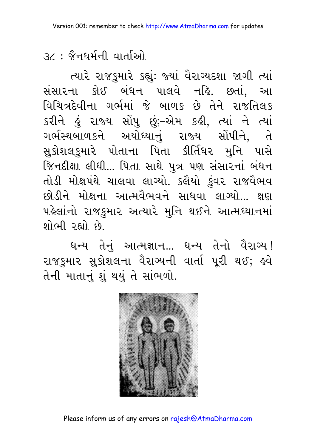૩૮ : જૈનઘર્મની વાર્તાઓ

ત્યારે રાજકુમારે કહ્યુંઃ જ્યાં વૈરાગ્યદશા જાગી ત્યાં સંસારના કોઈ બંધન પાલવે નહિ. છતાં, આ વિચિત્રદેવીના ગર્ભમાં જે બાળક છે તેને રાજતિલક કરીને હું રાજ્ય સોંપુ છું;-એમ કહી, ત્યાં ને ત્યાં ગર્ભસ્થબાળકને અયોધ્યાનું રાજ્ય સોંપીને, તે સુકોશલકુમારે પોતાના પિતા કીર્તિધર મુનિ પાસે જિનદીક્ષા લીધી... પિતા સાથે પુત્ર પણ સંસારનાં બંધન તોડી મોક્ષપંથે ચાલવા લાગ્યો. કલૈયો કુંવર રાજવૈભવ છોડીને મોક્ષના આત્મવૈભવને સાધવા લાગ્યો... ક્ષણ પહેલાંનો રાજકુમાર અત્યારે મુનિ થઈને આત્મઘ્યાનમાં શોભી રહ્યો છે.

ધન્ય તેનું આત્મજ્ઞાન... ધન્ય તેનો વૈરાગ્ય! રાજકમાર સૂકોશલના વૈરાગ્યની વાર્તા પરી થઈ; હવે તેની માતાનું શું થયું તે સાંભળો.



Please inform us of any errors on rajesh@AtmaDharma.com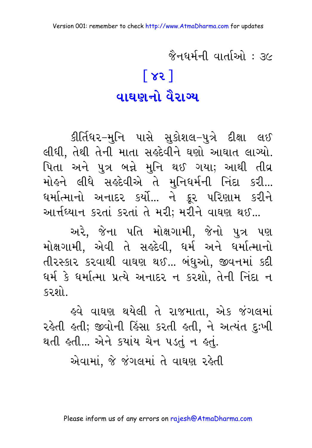જૈનઘર્મની વાર્તાઓ : *૩*૯  $\lceil 85 \rceil$ <u>વાઘણનો વૈરાગ્ય</u>

કીર્તિધર–મુનિ પાસે સુકોશલ–પુત્રે દીક્ષા લઈ લીધી, તેથી તેની માતા સર્લ્ડદેવીને ઘણો આઘાત લાગ્યો. પિતા અને પુત્ર બન્ને મુનિ થઈ ગયા; આથી તીવ્ર મોહને લીધે સહદેવીએ તે મુનિધર્મની નિંદા કરી... ધર્માત્માનો અનાદર કર્યો... ને ક્રૂર પરિણામ કરીને આર્તઘ્યાન કરતાં કરતાં તે મરી; મરીને વાઘણ થઈ...

અરે, જેના પતિ મોક્ષગામી, જેનો પુત્ર પણ મોક્ષગામી, એવી તે સર્લ્રદેવી, ઘર્મ અને ઘર્માત્માનો તીરસ્કાર કરવાથી વાઘણ થઈ... બંધુઓ. જીવનમાં કદી ધર્મ કે ધર્માત્મા પ્રત્યે અનાદર ન કરશો. તેની નિંદા ન કરશો

હવે વાઘણ થયેલી તે રાજમાતા, એક જંગલમાં રહેતી હતી; જીવોની હિંસા કરતી હતી, ને અત્યંત દુઃખી થતી હતી... એને કયાંય ચેન ૫ડતું ન હતું.

એવામાં. જે જંગલમાં તે વાઘણ રહેતી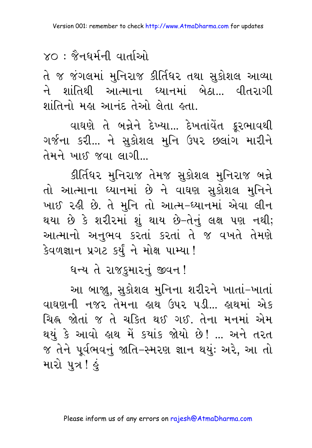## $\times$ ೧ : જૈનધર્મની વાર્તાઓ

તે જ જંગલમાં મુનિરાજ કીર્તિધર તથા સુકોશલ આવ્યા ને શાંતિથી આત્માના ધ્યાનમાં બેઠા... વીતરાગી શાંતિનો મહા આનંદ તેઓ લેતા હતા.

વાઘણે તે બન્નેને દેખ્યા... દેખતાંવેત ક્રૂરભાવથી ગર્જના કરી... ને સુકોશલ મુનિ ઉપર છલાંગ મારીને તેમને ખાઈ જવા લાગી

કીર્તિધર મુનિરાજ તેમજ સુકોશલ મુનિરાજ બન્ને તો આત્માના ધ્યાનમાં છે ને વાઘણ સુકોશલ મુનિને ખાઈ રહી છે. તે મુનિ તો આત્મ-ધ્યાનમાં એવા લીન થયા છે કે શરીરમાં શું થાય છે–તેનું લક્ષ પણ નથી; આત્માનો અનુભવ કરતાં કરતાં તે જ વખતે તેમણે કેવળજ્ઞાન પ્રગટ કર્યું ને મોક્ષ પામ્યા !

ધન્ય તે રાજકુમારનું જીવન!

આ બાજ્યુ, સુકોશલ મુનિના શરીરને ખાતાં-ખાતાં વાઘણની નજર તેમના હાથ ઉપર પડી... હાથમાં એક ચિહ્ન જોતાં જ તે ચક્તિ થઈ ગઈ. તેના મનમાં એમ થયું કે આવો હાથ મેં કયાંક જોયો છે! ... અને તરત જ તેને પૂર્વભવનું જાતિ–સ્મરણ જ્ઞાન થયુંઃ અરે, આ તો મારો પુત્ર ! હું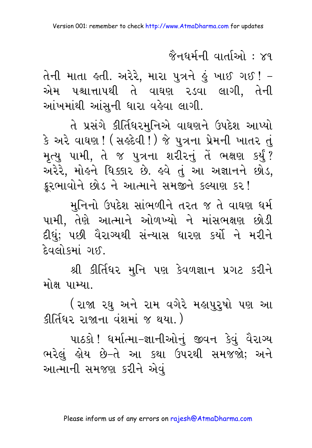જૈનઘર્મની વાર્તાઓ :  $\times$ ૧

તેની માતા હતી. અરેરે, મારા પુત્રને હું ખાઈ ગઈ ! – એમ પશ્ચાત્તાપથી તે વાઘણ ૨ડવા લાગી, તેની આંખમાંથી આંસુની ધારા વહેવા લાગી.

તે પ્રસંગે કીર્તિધરમુનિએ વાઘણને ઉપદેશ આપ્યો કે અરે વાઘણ ! ( સર્કદેવી ! ) જે પુત્રના પ્રેમની ખાતર તું મૃત્યુ પામી, તે જ પુત્રના શરીરનું તેં ભક્ષણ કર્યું? અરેરે, મોલ્ને ધિક્કાર છે. લ્વે તું આ અજ્ઞાનને છોડ, કૂરભાવોને છોડ ને આત્માને સમજીને કલ્યાણ કર!

મનિનો ઉપદેશ સાંભળીને તરત જ તે વાઘણ ધર્મ પામી. તેણે આત્માને ઓળખ્યો ને માંસભક્ષણ છોડી દીધં; પછી વૈરાગ્યથી સંન્યાસ ધારણ કર્યો ને મરીને દેવલોકમાં ગઈ.

श्री डीर्तिधर भुनि पण डेवणज्ञान प्रगट डरीने મોક્ષ પામ્યા

(રાજા રઘુ અને રામ વગેરે મહાપુરુષો પણ આ इीर्तिधर राश्नाना वंशमां १ थया.)

પાઠકો ! ધર્માત્મા–જ્ઞાનીઓનં જીવન કેવં વૈરાગ્ય ભરેલું હોય છે–તે આ કથા ઉપરથી સમજજો; અને આત્માની સમજણ કરીને એવં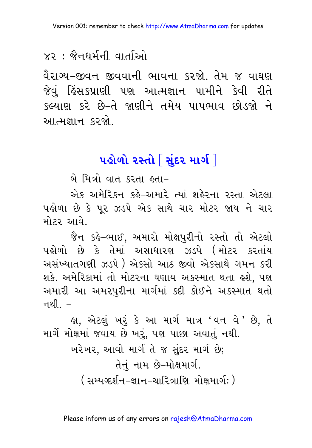## $\times$ २ $\div$  જૈનઘર્મની વાર્તાઓ

વૈરાગ્ય–જીવન જીવવાની ભાવના કરજો. તેમ જ વાઘણ જેવં હિંસકપ્રાણી પણ આત્મજ્ઞાન પામીને કેવી રીતે કલ્યાણ કરે છે-તે જાણીને તમેય પાપભાવ છોડજો ને આત્મજ્ઞાન કરજો

### પહોળો ૨સ્તો $\lceil$  સંદર માર્ગ $\lceil$

બે મિત્રો વાત કરતા હતા-

એક અમેરિકન કહે–અમારે ત્યાં શહેરના રસ્તા એટલા પહોળા છે કે પર ઝડપે એક સાથે ચાર મોટર જાય ને ચાર મોટર આવે.

જૈન કહે-ભાઈ, અમારો મોક્ષપુરીનો રસ્તો તો એટલો પહોળો છે કે તેમાં અસાધારણ ઝડપે (મોટર કરતાંય અસંખ્યાતગણી ઝડપે ) એકસો આઠ જીવો એકસાથે ગમન કરી શકે. અમેરિકામાં તો મોટરના ઘણાય અકસ્માત થતા હશે. પણ અમારી આ અમરપુરીના માર્ગમાં કદી કોઈને અકસ્માત થતો નથી  $-$ 

હ્ય, એટલું ખરૂં કે આ માર્ગ માત્ર 'વન વે*'* છે, તે માર્ગે મોક્ષમાં જવાય છે ખરૂં, પણ પાછા અવાતું નથી. ખરેખર, આવો માર્ગતે જ સુંદર માર્ગ છે; તેનં નામ છે–મોક્ષમાર્ગ. ( સમ્યગ્દર્શન−જ્ઞાન−ચારિત્રાણિ મોક્ષમાર્ગઃ )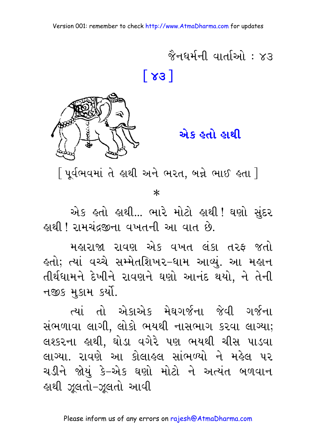$\hat{\mathcal{X}}$ नधर्मनी वार्ताओ $\cdot$   $\times$ उ  $\lceil 83 \rceil$ 



એક હતો હાથી

[ પૂર્વભવમાં તે હાથી અને ભરત, બન્ને ભાઈ હતા ]

 $\ast$ 

એક હતો હાથી... ભારે મોટો હાથી ! ઘણો સંદર <u>કાથી ! રામચંદ્રજીના વખતની આ વાત છે.</u>

મહારાજા રાવણ એક વખત લંકા તરફ જતો હતો; ત્યાં વચ્ચે સમ્મેતશિખર-ધામ આવ્યું. આ મહાન તીર્થધામને દેખીને રાવણને ઘણો આનંદ થયો, ને તેની નજીક મુકામ કર્યો.

ત્યાં તો એકાએક મેઘગર્જના જેવી ગર્જના સંભળાવા લાગી, લોકો ભયથી નાસભાગ કરવા લાગ્યા; લશ્કરના હાથી. ઘોડા વગેરે પણ ભયથી ચીસ પાડવા લાગ્યા. રાવણે આ કોલાહલ સાંભળ્યો ને મહેલ પર ચડીને જોયું કે–એક ઘણો મોટો ને અત્યંત બળવાન હાથી ઝૂલતો-ઝૂલતો આવી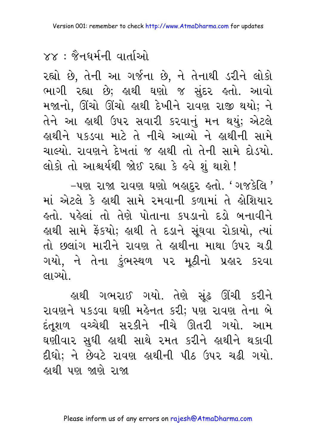## $88 :$   $\grave{8}$ नघर्मनी वार्ताઓ

રહ્યો છે, તેની આ ગર્જના છે, ને તેનાથી ડરીને લોકો ભાગી રહ્યા છે; હાથી ઘણો જ સુંદર હતો. આવો મજાનો, ઊંચો ઊંચો હાથી દેખીને રાવણ રાજી થયો; ને તેને આ હાથી ઉપર સવારી કરવાનું મન થયું; એટલે હાથીને પકડવા માટે તે નીચે આવ્યો ને હાથીની સામે ચાલ્યો. રાવણને દેખતાં જ હાથી તો તેની સામે દોડયો. લોકો તો આશ્ચર્યથી જોઈ રહ્યા કે હવે શું થાશે !

-૫ણ રાજા રાવણ ઘણો બહાદુર હતો. 'ગજકેલિ ' માં એટલે કે હાથી સામે રમવાની કળામાં તે હોશિયાર હતો. પહેલાં તો તેણે પોતાના કપડાનો દડો બનાવીને હાથી સામે ફેંકયો; હાથી તે દડાને સૂંઘવા રોકાયો, ત્યાં તો છલાંગ મારીને રાવણ તે હાથીના માથા ઉપર ચડી ગયો, ને તેના કુંભસ્થળ પર મૂઠીનો પ્રહાર કરવા લાગ્યો.

હાથી ગભરાઈ ગયો. તેણે સુંઢ ઊંચી કરીન<mark>ે</mark> રાવણને પકડવા ઘણી મહેનત કરી; પણ રાવણ તેના બે દંતુશળ વચ્ચેથી સ૨કીને નીચે ઊતરી ગયો. આમ ઘણીવાર સુધી હાથી સાથે રમત કરીને હાથીને થકાવી દીધો; ને છેવટે રાવણ હાથીની પીઠ ઉપર ચઢી ગયો. હાથી પણ જાણે રાજા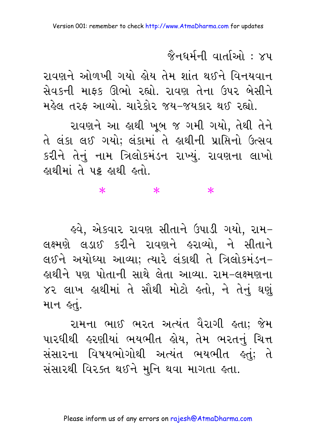#### $\hat{\mathcal{X}}$ नधर्मनी वार्ताओ $\cdot$   $\times$ प

રાવણને ઓળખી ગયો હોય તેમ શાંત થઈને વિનયવાન સેવકની માફક ઊભો રહ્યો. રાવણ તેના ઉપર બેસીને મહેલ તરફ આવ્યો. ચારેકોર જય-જયકાર થઈ રહ્યો.

રાવણને આ ઙાથી ખબ જ ગમી ગયો. તેથી તેને તે લંકા લઈ ગયો; લંકામાં તે હાથીની પ્રાપ્તિનો ઉત્સવ કરીને તેનું નામ ત્રિલોકમંડન રાખ્યું. રાવણના લાખો હાથીમાં તે ૫ક હાથી હતો.

#### $\ast$  $\ast$  $\ast$

ઙ્વે. એકવાર રાવણ સીતાને ઉપાડી ગયો. રામ− લક્ષ્મણે લડાઈ કરીને રાવણને હરાવ્યો. ને સીતાને લઈને અયોધ્યા આવ્યા: ત્યારે લંકાથી તે ત્રિલોકમંડન-હાથીને પણ પોતાની સાથે લેતા આવ્યા. રામ-લક્ષ્મણના ૪૨ લાખ હાથીમાં તે સૌથી મોટો હતો. ને તેનું ઘણું માન *હતે*.

રામના ભાઈ ભરત અત્યંત વૈરાગી હતા: જેમ પારઘીથી હરણીયાં ભયભીત હોય. તેમ ભરતનં ચિત્ત સંસારના વિષયભોગોથી અત્યંત ભયભીત કતું; તે સંસારથી વિરક્ત થઈને મુનિ થવા માગતા હતા.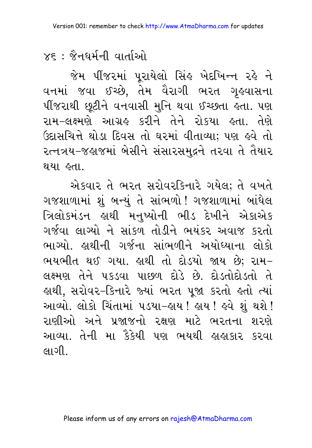$x \epsilon$  : જૈનઘર્મની વાર્તાઓ

જેમ પીંજરમાં પૂરાયેલો સિંહ ખેદખિન્ન રહે ને વનમાં જવા ઈચ્છે, તેમ વૈરાગી ભરત ગૃહવાસના પીંજરાથી છૂટીને વનવાસી મુનિ થવા ઈચ્છતા હતા. પણ રામ–લક્ષ્મણે આગ્રહ કરીને તેને રોકયા હતા. તેણે ઉદાસચિત્તે થોડા દિવસ તો ઘરમાં વીતાવ્યા; પણ હવે તો રત્નત્રય-જહાજમાં બેસીને સંસારસમદ્રને તરવા તે તૈયાર થયા હતા.

એકવાર તે ભરત સરોવરકિનારે ગયેલ; તે વખતે ગજશાળામાં શું બન્યું તે સાંભળો ! ગજશાળામાં બાંધેલ ત્રિલોકમંડન હાથી મનુષ્યોની ભીડ દેખીને એકાએક ગર્જવા લાગ્યો ને સાંકળ તોડીને ભયંકર અવાજ કરતો ભાગ્યો. હાથીની ગર્જના સાંભળીને અયોધ્યાના લોકો ભયભીત થઈ ગયા. હાથી તો દોડયો જાય છે; રામ– લક્ષ્મણ તેને પકડવા પાછળ દોડે છે. દોડતોદોડતો તે હાથી, સરોવર-કિનારે જ્યાં ભરત પૂજા કરતો હતો ત્યાં આવ્યો. લોકો ચિંતામાં ૫ડયા-હાય ! હાય ! હવે શું થશે ! રાણીઓ અને પ્રજાજનો રક્ષણ માટે ભરતના શરણે આવ્યા. તેની મા કૈકેયી પણ ભયથી હાહાકાર કરવા લાગી.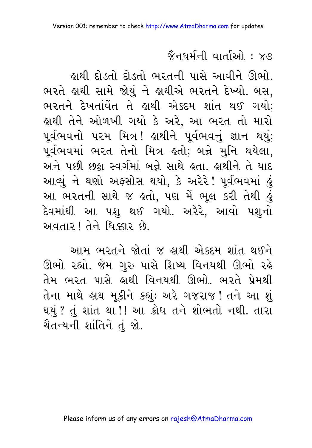#### જૈનઘર્મની વાર્તાઓ : ૪૭

હાથી દોડતો દોડતો ભરતની પાસે આવીને ઊભો. ભરતે હાથી સામે જોયું ને હાથીએ ભરતને દેખ્યો. બસ. ભરતને દેખતાંવેત તે લાથી એકદમ શાંત થઈ ગયો: હાથી તેને ઓળખી ગયો કે અરે, આ ભરત તો મારો પૂર્વભવનો ૫૨મ મિત્ર! હાથીને પૂર્વભવનું જ્ઞાન થયું; પૂર્વભવમાં ભરત તેનો મિત્ર હતો; બન્ને મુનિ થયેલા, અને પછી છઠ્ઠા સ્વર્ગમાં બન્ને સાથે હતા. હાથીને તે યાદ આવ્યું ને ઘણો અફસોસ થયો, કે અરેરે! પૂર્વભવમાં હું આ ભરતની સાથે જ હતો, પણ મેં ભૂલ કરી તેથી હું દેવમાંથી આ પશુ થઈ ગયો. અરેરે, આવો પશુનો અવતાર! તેને ધિક્લર છે.

આમ ભરતને જોતાં જ હાથી એકદમ શાંત થઈને ઊભો રહ્યો. જેમ ગુરુ પાસે શિષ્ય વિનયથી ઊભો રહે તેમ ભરત પાસે હાથી વિનયથી ઊભો. ભરતે પ્રેમથી તેના માથે હાથ મૂકીને કહ્યું: અરે ગજરાજ! તને આ શું થયું ? તું શાંત થા !! આ ક્રોધ તને શોભતો નથી. તારા ચૈતન્યની શાંતિને તું જો.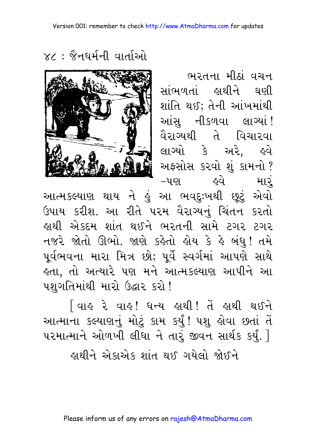ભરતના મીઠાં વચન સાંભળતાં હાથીને ઘણી શાંતિ થઈ; તેની આંખમાંથી આંસ નીકળવા લાગ્યાં! વૈરાગ્યથી તે વિચારવા લાગ્યો કે અરે. હવે અફસોસ કરવો શું કામનો ? મારું હવે –પણ

 $\times$ : क्षैनधर्मनी वार्ताओ



આત્મકલ્યાણ થાય ને હું આ ભવદુઃખથી છૂટું એવો ઉપાય કરીશ. આ રીતે પરમ વૈરાગ્યનું ચિંતન કરતો હાથી એકદમ શાંત થઈને ભરતની સામે ટગર ટગર નજરે જોતો ઊભો. જાણે કહેતો હોય કે હે બંધુ! તમે પૂર્વભવના મારા મિત્ર છો; પૂર્વે સ્વર્ગમાં આપણે સાથે હતા, તો અત્યારે પણ મને આત્મકલ્યાણ આપીને આ પશુગતિમાંથી મારો ઉદ્ઘાર કરો!

િવાઙ રે વાઙ! ઘન્ય ઙાથી! તેં ઙાથી થઈને આત્માના કલ્યાણનું મોટું કામ કર્યું! પશુ હોવા છતાં તેં પરમાત્માને ઓળખી લીધા ને તારું જીવન સાર્થક કર્યું. 7 <u>હાથીને એકાએક શાંત થઈ ગયેલો જોઈને</u>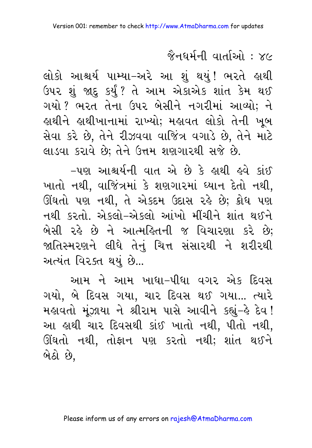## જૈનધર્મની વાર્તાઓ : ४૯

લોકો આશ્ચર્ય પામ્યા–અરે આ શું થયું! ભરતે હાથી ઉપર શું જાદુ કર્યું? તે આમ એકાએક શાંત કેમ થઈ ગયો ? ભરત તેના ઉપર બેસીને નગરીમાં આવ્યો; ને હાથીને હાથીખાનામાં રાખ્યો; મહાવત લોકો તેની ખૂબ સેવા કરે છે. તેને રીઝવવા વાજિંત્ર વગાડે છે. તેને માટે લાડવા કરાવે છે; તેને ઉત્તમ શણગારથી સજે છે.

-પણ આશ્ચર્યની વાત એ છે કે લાથી હવે કાંઈ ખાતો નથી, વાજિંત્રમાં કે શણગારમાં ધ્યાન દેતો નથી, ઊંઘતો પણ નથી, તે એકદમ ઉદાસ રહે છે; ક્રોધ પણ નથી કરતો. એકલો-એકલો આંખો મીંચીને શાંત થઈને બેસી રહે છે ને આત્મહિતની જ વિચારણા કરે છે; જાતિસ્મરણને લીધે તેનં ચિત્ત સંસારથી ને શરીરથી અત્યંત વિરક્ત થયું છે...

આમ ને આમ ખાધા-પીધા વગર એક દિવસ ગયો, બે દિવસ ગયા, ચાર દિવસ થઈ ગયા... ત્યારે મહાવતો મૂંઝાયા ને શ્રીરામ પાસે આવીને કહ્યું–હે દેવ! આ હાથી ચાર દિવસથી કાંઈ ખાતો નથી, પીતો નથી, ઊંઘતો નથી, તોફાન પણ કરતો નથી; શાંત થઈને બેઠો છે.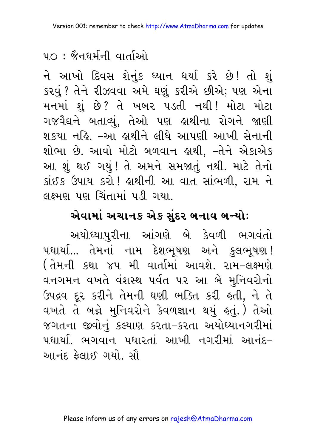## ५೧ : જૈનઘર્મની વાર્તાઓ

ને આખો દિવસ શેનુંક ઘ્યાન ઘર્યા કરે છે! તો શું કરવું ? તેને રીઝવવા અમે ઘણું કરીએ છીએ; પણ એના મનમાં શું છે? તે ખબર પડતી નથી! મોટા મોટા ગજવૈદ્યને બતાવ્યું, તેઓ પણ હાથીના રોગને જાણી શકયા નહિ. –આ હાથીને લીધે આપણી આખી સેનાની શોભા છે. આવો મોટો બળવાન હાથી, -તેને એકાએક આ શું થઈ ગયું! તે અમને સમજાતું નથી. માટે તેનો કાંઈક ઉપાય કરો ! હાથીની આ વાત સાંભળી, રામ ને લક્ષ્મણ પણ ચિંતામાં પડી ગયા.

#### એવામાં અચાનક એક સુંદર બનાવ બન્યોઃ

અયોઘ્યાપુરીના આંગણે બે કેવળી ભગવંતો પધાર્યા... તેમનાં નામ દેશભૂષણ અને કુલભૂષણ! ( તેમની કથા ૪૫ મી વાર્તામાં આવશે. રામ–લક્ષ્મણે વનગમન વખતે વંશસ્થ પર્વત પર આ બે મુનિવરોનો ઉપદ્રવ દૂર કરીને તેમની ઘણી ભક્તિ કરી હતી, ને તે વખતે તે બન્ને મુનિવરોને કેવળજ્ઞાન થયું કતું.) તેઓ જગતના જીવોનું કલ્યાણ કરતા-કરતા અયોધ્યાનગરીમાં પદ્યાર્થા ભગવાન પદ્યારતાં આખી નગરીમાં આનંદ– આનંદ કેલાઈ ગયો. સૌ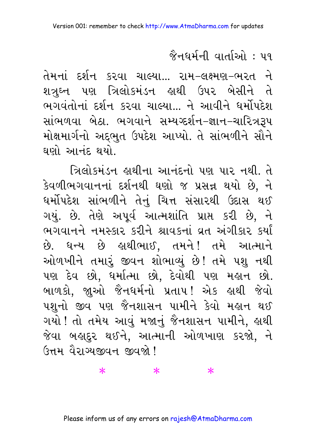જૈનઘર્મની વાર્તાઓ : ૫૧

તેમનાં દર્શન કરવા ચાલ્યા... રામ–લક્ષ્મણ–ભરત ને શત્રુઘ્ન પણ ત્રિલોકમંડન હાથી ઉપર બેસીને તે ભગવંતોનાં દર્શન કરવા ચાલ્યા... ને આવીને ધર્મોપદેશ સાંભળવા બેઠા. ભગવાને સમ્યગ્દર્શન-જ્ઞાન-ચારિત્રરૂપ મોક્ષમાર્ગનો અદ્દભુત ઉપદેશ આપ્યો. તે સાંભળીને સૌને ઘણો આનંદ થયો

ત્રિલોકમંડન હાથીના આનંદનો પણ પાર નથી. તે કેવળીભગવાનનાં દર્શનથી ઘણો જ પ્રસન્ન થયો છે, ને ધર્મોપદેશ સાંભળીને તેનું ચિત્ત સંસારથી ઉદાસ થઈ ગયું. છે. તેણે અપૂર્વ આત્મશાંતિ પ્રાપ્ત કરી છે, ને ભગવાનને નમસ્કાર કરીને શ્રાવકનાં વ્રત અંગીકાર કર્યાં છે. ધન્ય છે હાથીભાઈ, તમને! તમે આત્માને ઓળખીને તમારૂં જીવન શોભાવ્યું છે! તમે પશુ નથી પણ દેવ છો, ધર્માત્મા છો, દેવોથી પણ મહાન છો. બાળકો, જાુઓ જૈનધર્મનો પ્રતાપ! એક હાથી જેવો પશુનો જીવ પણ જૈનશાસન પામીને કેવો મહાન થઈ ગયો ! તો તમેય આવું મજાનું જૈનશાસન પામીને, હાથી જેવા બહાદુર થઈને, આત્માની ઓળખાણ કરજો, ને ઉત્તમ વૈરાગ્યજીવન જીવજો!

 $\ast$ 

 $\ast$ 

 $\ast$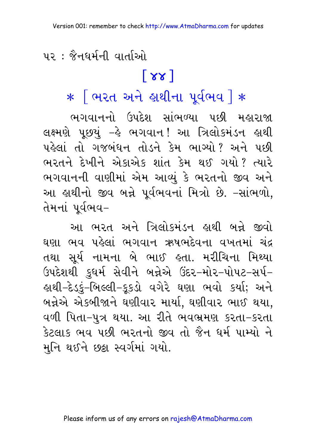<u> ५२ : જૈનઘર્મની વાર્તાઓ</u>

## $\lceil 88 \rceil$

 $*$  लिरत अने झथीना पूर्वलय |  $*$ 

ભગવાનનો ઉપદેશ સાંભળ્યા પછી મહારાજા લક્ષ્મણે પૂછયું -હે ભગવાન! આ ત્રિલોકમંડન હાથી પહેલાં તો ગજબંધન તોડને કેમ ભાગ્યો? અને પછી ભરતને દેખીને એકાએક શાંત કેમ થઈ ગયો? ત્યારે ભગવાનની વાણીમાં એમ આવ્યું કે ભરતનો જીવ અને આ હાથીનો જીવ બન્ને પૂર્વભવનાં મિત્રો છે. -સાંભળો, તેમનાં પર્વભવ–

આ ભરત અને ત્રિલોકમંડન હાથી બન્ને જીવો ઘણા ભવ પહેલાં ભગવાન ઋષભદેવના વખતમાં ચંદ્ર તથા સર્ય નામના બે ભાઈ હતા. મરીચિના મિથ્યા ઉપદેશથી કુઘર્મ સેવીને બન્નેએ ઉંદર–મોર–પોપટ–સર્પ– ઙાથી−દેડકું−બિલ્લી−કૂકડો વગેરે ઘણા ભવો કર્યા; અને બન્નેએ એકબીજાને ઘણીવાર માર્યા, ઘણીવાર ભાઈ થયા, વળી પિતા-પુત્ર થયા. આ રીતે ભવભ્રમણ કરતા-કરતા કેટલાક ભવ પછી ભરતનો જીવ તો જૈન ધર્મ પામ્યો ને મનિ થઈને છક્રા સ્વર્ગમાં ગયો.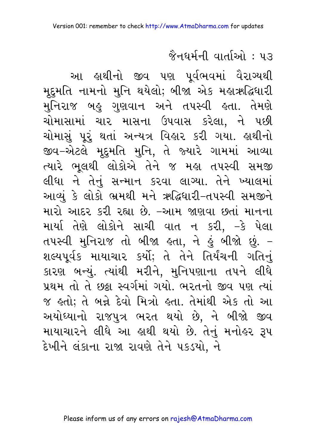#### જૈનઘર્મની વાર્તાઓ : ૫૩

આ હાથીનો જીવ પણ પૂર્વભવમાં વૈરાગ્યથી મૂદ્દમતિ નામનો મુનિ થયેલો; બીજા એક મહાઋદ્ધિધારી મુનિરાજ બહુ ગુણવાન અને તપસ્વી હતા. તેમણે ચોમાસામાં ચાર માસના ઉપવાસ કરેલા, ને પછી ચોમાસું પૂરું થતાં અન્યત્ર વિહાર કરી ગયા. હાથીનો જીવ-એટલે મૂદ્દમતિ મુનિ, તે જ્યારે ગામમાં આવ્યા ત્યારે ભૂલથી લોકોએ તેને જ મહા તપસ્વી સમજી લીધા ને તેનું સન્માન કરવા લાગ્યા. તેને ખ્યાલમાં આવ્યું કે લોકો ભ્રમથી મને ઋદ્ધિધારી-તપસ્વી સમજીને મારો આદર કરી રહ્યા છે. –આમ જાણવા છતાં માનના માર્યા તેણે લોકોને સાચી વાત ન કરી, –કે પેલા તપસ્વી મુનિરાજ તો બીજા હતા, ને હું બીજો છું. – શલ્યપૂર્વક માયાચાર કર્યો; તે તેને તિર્યંચની ગતિનું કારણ બન્યું. ત્યાંથી મરીને, મુનિપણાના તપને લીધે પ્રથમ તો તે છક્રા સ્વર્ગમાં ગયો. ભરતનો જીવ પણ ત્યાં જ હતો; તે બન્ને દેવો મિત્રો હતા. તેમાંથી એક તો આ અયોધ્યાનો રાજપુત્ર ભરત થયો છે, ને બીજો જીવ માયાચારને લીધે આ હાથી થયો છે. તેનું મનોહર રૂપ દેખીને લંકાના રાજા રાવણે તેને પકડયો, ને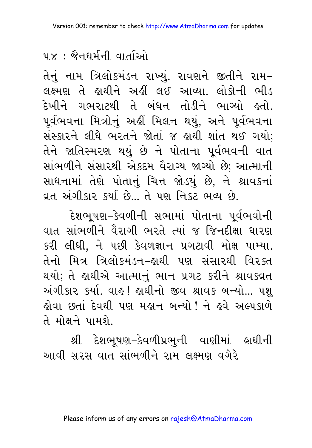## <u> ५४ : જૈનधर्मनी वार्ताઓ</u>

તેનું નામ ત્રિલોકમંડન રાખ્યું. રાવણને જીતીને રામ– લક્ષ્મણ તે હાથીને અહીં લઈ આવ્યા. લોકોની ભીડ દેખીને ગભરાટથી તે બંધન તોડીને ભાગ્યો હતો. પૂર્વભવના મિત્રોનું અહીં મિલન થયું, અને પૂર્વભવના સંસ્કારને લીધે ભરતને જોતાં જ હાથી શાંત થઈ ગયો; તેને જાતિસ્મરણ થયું છે ને પોતાના પર્વભવની વાત સાંભળીને સંસારથી એકદમ વૈરાગ્ય જાગ્યો છે; આત્માની સાધનામાં તેણે પોતાનું ચિત્ત જોડયું છે, ને શ્રાવકનાં વ્રત અંગીકાર કર્યા છે… તે પણ નિકટ ભવ્ય છે.

દેશભૂષણ-કેવળીની સભામાં પોતાના પૂર્વભવોની વાત સાંભળીને વૈરાગી ભરતે ત્યાં જ જિનદીક્ષા ધારણ કરી લીધી. ને પછી કેવળજ્ઞાન પ્રગટાવી મોક્ષ પામ્યા. તેનો મિત્ર ત્રિલોકમંડન–હાથી પણ સંસારથી વિરક્ત થયો; તે હાથીએ આત્માનું ભાન પ્રગટ કરીને શ્રાવકવ્રત અંગીકાર કર્યા. વાહ! હાથીનો જીવ શ્રાવક બન્યો... પશ કોવા છતાં દેવથી પણ મહાન બન્યો! ને હવે અલ્પકાળે તે મોક્ષને પામશે

આવી સરસ વાત સાંભળીને રામ–લક્ષ્મણ વગેરે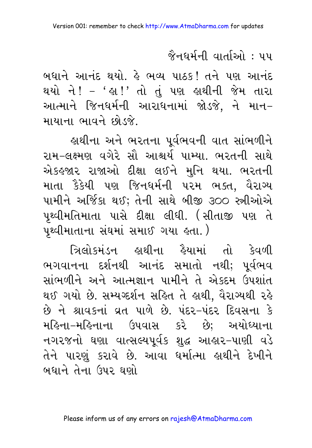#### જૈનઘર્મની વાર્તાઓ : ૫૫

બધાને આનંદ થયો. કે ભવ્ય પાઠક! તને પણ આનંદ થયો ને! – ' હ્રા!' તો તું પણ હ્રાથીની જેમ તારા આત્માને જિનધર્મની આરાધનામાં જોડજે, ને માન– માયાના ભાવને છોડજે

હાથીના અને ભરતના પૂર્વભવની વાત સાંભળીને રામ-લક્ષ્મણ વગેરે સૌ આશ્ચર્ય પામ્યા. ભરતની સાથે એકહજાર રાજાઓ દીક્ષા લઈને મુનિ થયા. ભરતની માતા કૈકેયી પણ જિનધર્મની પરમ ભક્ત, વૈરાગ્ય પામીને અર્જિકા થઈ; તેની સાથે બીજી ૩૦૦ સ્ત્રીઓએ પૃથ્વીમતિમાતા પાસે દીક્ષા લીધી. (સીતાજી પણ તે પૃથ્વીમાતાના સંઘમાં સમાઈ ગયા હતા.)

ત્રિલોકમંડન હાથીના હૈયામાં તો કેવળી ભગવાનના દર્શનથી આનંદ સમાતો નથી; પર્વભવ સાંભળીને અને આત્મજ્ઞાન પામીને તે એકદમ ઉપશાંત થઈ ગયો છે. સમ્યગ્દર્શન સહિત તે હાથી, વૈરાગ્યથી રહે છે ને શ્રાવકનાં વ્રત પાળે છે. પંદર-પંદર દિવસના કે મહિના–મહિનાના ઉપવાસ કરે છે; અયોધ્યાના નગરજનો ઘણા વાત્સલ્યપૂર્વક શુદ્ધ આહાર-પાણી વડે તેને પારણું કરાવે છે. આવા ઘર્માત્મા હાથીને દેખીને બધાને તેના ઉપર ઘણો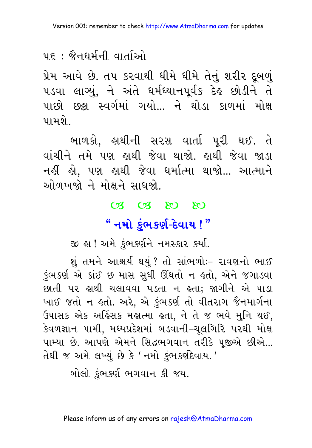### 

પ્રેમ આવે છે. તપ કરવાથી ધીમે ધીમે તેનું શરીર દૂબળું પડવા લાગ્યું, ને અંતે ધર્મઘ્યાનપૂર્વક દેહ છોડીને તે પાછો છઠ્ઠા સ્વર્ગમાં ગયો... ને થોડા કાળમાં મોક્ષ પામશે.

બાળકો. હાથીની સરસ વાર્તા પરી થઈ. તે વાંચીને તમે પણ હાથી જેવા થાજો. હાથી જેવા જાડા નહીં હો, પણ હાથી જેવા ધર્માત્મા થાજો... આત્માને ઓળખજો ને મોક્ષને સાધજો.

#### 03 03 80 80

## " નમો કુંભકર્ણ-દેવાય !"

જી હા! અમે કુંભકર્ણને નમસ્કાર કર્યા.

શંતમને આશ્ચર્ય થયં? તો સાંભળોઃ- રાવણનો ભાઈ કુંભકર્ણ એ કાંઈ છ માસ સુધી ઊંઘતો ન હતો, એને જગાડવા છાતી પર હાથી ચલાવવા પડતા ન હતા; જાગીને એ પાડા ખાઈ જતો ન હતો. અરે, એ કંભકર્ણ તો વીતરાગ જૈનમાર્ગના ઉપાસક એક અહિંસક મહાત્મા હતા, ને તે જ ભવે મુનિ થઈ, કેવળજ્ઞાન પામી, મઘ્યપ્રદેશમાં બડવાની-ચુલગિરિ પરથી મોક્ષ પામ્યા છે. આપણે એમને સિદ્ધભગવાન તરીકે પૂજીએ છીએ... તેથી જ અમે લખ્યું છે કે 'નમો કુંભકર્ણદેવાય.'

બોલો કંભકર્ણ ભગવાન કી જય.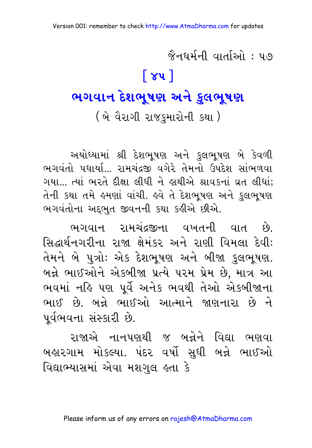જૈનઘર્મની વાર્તાઓ : ૫૭  $\lceil 84 \rceil$ ભગવાન દેશભૂષણ અને કુલભૂષણ (બે વૈરાગી રાજકમારોની કથા)

અયોઘ્યામાં શ્રી દેશભૂષણ અને કુલભૂષણ બે કેવળી ભગવંતો પધાર્યા... રામચંદ્રજી વગેરે તેમનો ઉપદેશ સાંભળવા ગયા... ત્યાં ભરતે દીક્ષા લીધી ને જ્ઞથીએ શ્રાવકનાં વ્રત લીધાં: તેની કથા તમે હમણાં વાંચી. હવે તે દેશભુષણ અને કુલભુષણ ભગવંતોના અદ્દભુત જીવનની કથા કહીએ છીએ.

ભગવાન રામચંદ્રજીના વખતની વાત છે. સિદ્ધાર્થનગરીના રાજા ક્ષેમંકર અને રાણી વિમલા દેવી: તેમને બે પુત્રોઃ એક દેશભૂષણ અને બીજા કુલભૂષણ. બન્ને ભાઈઓને એકબીજા પ્રત્યે પરમ પ્રેમ છે, માત્ર આ ભવમાં નહિ પણ પૂર્વે અનેક ભવથી તેઓ એકબીજાના ભાઈ છે. બન્ને ભાઈઓ આત્માને જાણનારા છે ને પૂર્વભવના સંસ્કારી છે.

રાજાએ નાનપણથી જ બન્નેને વિદ્યા ભણવા બહારગામ મોકલ્યા. પંદર વર્ષો સુધી બન્ને ભાઈઓ વિદ્યાભ્યાસમાં એવા મશગુલ હતા કે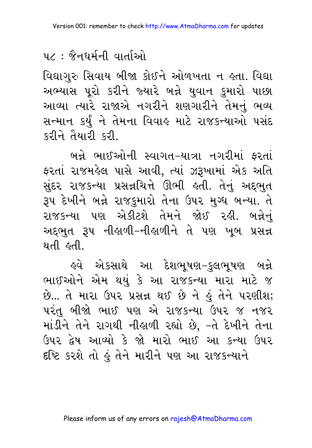### ૫૮ : જૈનઘર્મની વાર્તાઓ

વિદ્યાગુરુ સિવાય બીજા કોઈને ઓળખતા ન હતા. વિદ્યા અભ્યાસ પૂરો કરીને જ્યારે બન્ને યુવાન કુમારો પાછા આવ્યા ત્યારે રાજાએ નગરીને શણગારીને તેમનું ભવ્ય સન્માન કર્યું ને તેમના વિવાહ માટે રાજકન્યાઓ પસંદ કરીને તૈયારી કરી.

બન્ને ભાઈઓની સ્વાગત-યાત્રા નગરીમાં ફરતાં ફરતાં રાજમહેલ પાસે આવી, ત્યાં ઝરૂખામાં એક અતિ સુંદર રાજકન્યા પ્રસન્નચિત્તે ઊભી હતી. તેનું અદ્દભુત રૂપ દેખીને બન્ને રાજકુમારો તેના ઉપર મુગ્ધ બન્યા. તે રાજકન્યા પણ એકીટશે તેમને જોઈ રહી. બન્નેનું અદ્દભુત રૂપ નીહાળી-નીહાળીને તે પણ ખૂબ પ્રસન્ન થતી ઢતી

ઙ્વે એકસાથે આ દેશભૂષણ−કુલભૂષણ બન્ને ભાઈઓને એમ થયું કે આ રાજકન્યા મારા માટે જ છે... તે મારા ઉપર પ્રસન્ન થઈ છે ને હું તેને પરણીશ; પરંતુ બીજો ભાઈ પણ એ રાજકન્યા ઉપર જ નજર માંડીને તેને રાગથી નીહાળી રહ્યો છે, –તે દેખીને તેના ઉપર દેષ આવ્યો કે જો મારો ભાઈ આ કન્યા ઉપર દષ્ટિ કરશે તો હું તેને મારીને પણ આ રાજકન્યાને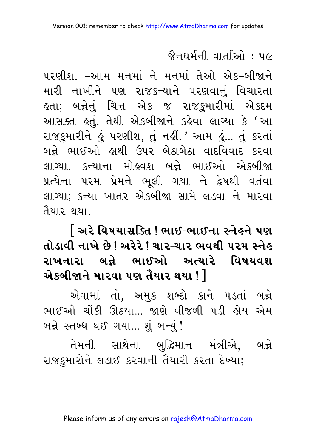## જૈનઘર્મની વાર્તાઓ : ૫૯

પરણીશ. –આમ મનમાં ને મનમાં તેઓ એક-બીજાને મારી નાખીને પણ રાજકન્યાને પરણવાનું વિચારતા હતા; બન્નેનું ચિત્ત એક જ રાજ<u>ક</u>મારીમાં એકદમ આસક્ત હતું. તેથી એકબીજાને કહેવા લાગ્યા કે 'આ રાજકુમારીને હું પરણીશ, તું નહીં.' આમ હું... તું કરતાં બન્ને ભાઈઓ લથી ઉપર બેઠાબેઠા વાદવિવાદ કરવા લાગ્યા. કન્યાના મોહવશ બન્ને ભાઈઓ એકબીજા પ્રત્યેના પરમ પ્રેમને ભૂલી ગયા ને દ્વેષથી વર્તવા લાગ્યા; કન્યા ખાતર એકબીજા સામે લડવા ને મારવા तैया२ धया

િઅરે વિષયાસક્તિ ! ભાઈ-ભાઈના સ્નેહને પણ તોડાવી નાખે છે ! અરેરે ! ચાર-ચાર ભવથી પરમ સ્નેહ રાખનારા બન્ને ભાઈઓ અત્યારે વિષયવશ એકબીજાને મારવા પણ તૈયાર થયા ! $\,$   $\,$ 

એવામાં તો, અમુક શબ્દો કાને પડતાં બન્ને ભાઈઓ ચોંકી ઊઠયા... જાણે વીજળી પડી હોય એમ બન્ને સ્તબ્ધ થઈ ગયા... શું બન્યું !

તેમની સાથેના બુદ્ધિમાન મંત્રીએ, બન્ને રાજકુમારોને લડાઈ કરવાની તૈયારી કરતા દેખ્યા;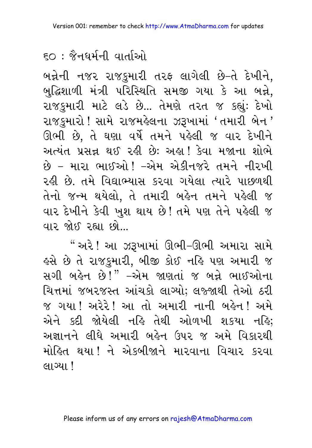## $\epsilon$ ೧ : જૈનઘર્મની વાર્તાઓ  $\epsilon$

બન્નેની નજર રાજકુમારી તરફ લાગેલી છે–તે દેખીને, બુદ્ધિશાળી મંત્રી પરિસ્થિતિ સમજી ગયા કે આ બન્ને, રાજકુમારી માટે લડે છે... તેમણે તરત જ કહ્યું: દેખો રાજકુમારો ! સામે રાજમહેલના ઝરૂખામાં 'તમારી બેન ' ઊભી છે, તે ઘણા વર્ષે તમને પહેલી જ વાર દેખીને અત્યંત પ્રસન્ન થઈ રહી છે: અહા! કેવા મજાના શોભે છે – મારા ભાઈઓ ! –એમ એકીનજરે તમને નીરખી રહી છે. તમે વિદ્યાભ્યાસ કરવા ગયેલા ત્યારે પાછળથી તેનો જન્મ થયેલો, તે તમારી બહેન તમને પહેલી જ વાર દેખીને કેવી ખુશ થાય છે! તમે પણ તેને પહેલી જ વાર જોઈ રહ્યા છો

" અરે ! આ ઝરૂખામાં ઊભી–ઊભી અમારા સામે ફસે છે તે રાજકુમારી, બીજી કોઈ નહિ પણ અમારી જ સગી બહેન છે!" –એમ જાણતાં જ બન્ને ભાઈઓના ચિત્તમાં જબરજસ્ત આંચકો લાગ્યો; લજ્જાથી તેઓ ઠરી જ ગયા ! અરેરે ! આ તો અમારી નાની બહેન ! અમે એને કદી જોયેલી નહિ તેથી ઓળખી શકયા નહિ; અજ્ઞાનને લીધે અમારી બહેન ઉપર જ અમે વિકારથી મોહિત થયા ! ને એકબીજાને મારવાના વિચાર કરવા લાગ્યા !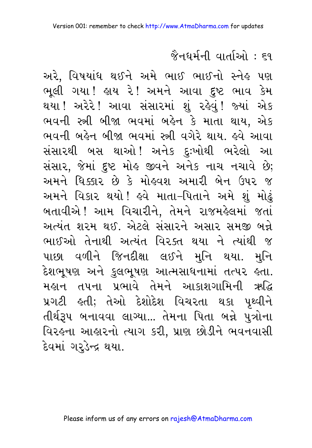## જૈનઘર્મની વાર્તાઓ : ૬૧

અરે, વિષયાંધ થઈને અમે ભાઈ ભાઈનો સ્નેહ પણ ભૂલી ગયા! હાય રે! અમને આવા દુષ્ટ ભાવ કેમ થયા !અરેરે !આવા સંસારમાં શું રહેવું !જ્યાં એક ભવની સ્ત્રી બીજા ભવમાં બહેન કે માતા થાય, એક ભવની બહેન બીજા ભવમાં સ્ત્રી વગેરે થાય. હવે આવા સંસારથી બસ થાઓ! અનેક દઃખોથી ભરેલો આ સંસાર, જેમાં દુષ્ટ મોહ જીવને અનેક નાચ નચાવે છે; અમને ધિક્કાર છે કે મોહુવશ અમારી બેન ઉપર જ અમને વિકાર થયો ! હવે માતા–પિતાને અમે શું મોઢું બતાવીએ ! આમ વિચારીને, તેમને રાજમહેલમાં જતાં અત્યંત શરમ થઈ. એટલે સંસારને અસાર સમજી બન્ને ભાઈઓ તેનાથી અત્યંત વિરક્ત થયા ને ત્યાંથી જ પાછા વળીને જિનદીક્ષા લઈને મુનિ થયા. મુનિ દેશભૂષણ અને કુલભૂષણ આત્મસાધનામાં તત્પર હતા. મહાન તપના પ્રભાવે તેમને આકાશગામિની ઋદ્ધિ પ્રગટી ક્લી; તેઓ દેશોદેશ વિચરતા થકા પૃથ્વીને તીર્થરૂપ બનાવવા લાગ્યા... તેમના પિતા બન્ને પુત્રોના વિરઙ્ના આક્રારનો ત્યાગ કરી, પ્રાણ છોડીને ભવનવાસી દેવમાં ગરૂડેન્દ્ર થયા.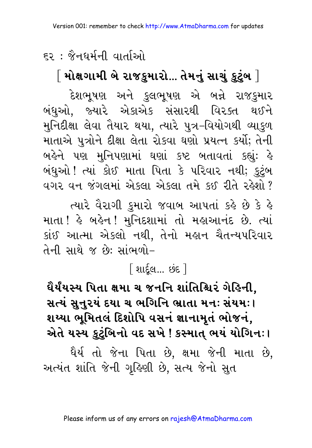# ૬૨ : જૈનઘર્મની વાર્તાઓ

 $\left[\right.$ મોક્ષગામી બે રાજકુમારો... તેમનું સાચું કુટુંબ  $\left.\right]$ 

દેશભૂષણ અને કુલભૂષણ એ બન્ને રાજકુમાર બંધઓ. જ્યારે એકાએક સંસારથી વિરક્ત થઈને મુનિદીક્ષા લેવા તૈયાર થયા, ત્યારે પુત્ર-વિયોગથી વ્યાકુળ માતાએ પુત્રોને દીક્ષા લેતા રોકવા ઘણો પ્રયત્ન કર્યો; તેની બહેને પણ મુનિપણામાં ઘણાં કષ્ટ બતાવતાં કહ્યું: હે બંધુઓ ! ત્યાં કોઈ માતા પિતા કે પરિવાર નથી; કુટુંબ વગર વન જંગલમાં એકલા એકલા તમે કઈ રીતે રહેશો ?

ત્યારે વૈરાગી કુમારો જવાબ આપતાં કહે છે કે હે માતા ! હે બહેન ! મુનિદશામાં તો મહાઆનંદ છે. ત્યાં કાંઈ આત્મા એકલો નથી, તેનો મહાન ચૈતન્યપરિવાર તેની સાથે જ છે: સાંભળો-

## <u>શિદેલ ...</u> છંદ ી

ઘૈર્યંયસ્ય પિતા ક્ષમા ચ જનનિ શાંતિશ્ચિર ગેહિની. સત્યં સુનુરયં દયા ચ ભગિનિ ભ્રાતા મનઃ સંયમઃ। શય્યા ભૂમિતલં દિશોપિ વસનં જ્ઞાનામૃતં ભોજનં, એતે યસ્ય કુટુંબિનો વદ સખે ! કસ્માત્ ભયં યોગિનઃ।

ધૈર્ય તો જેના પિતા છે. ક્ષમા જેની માતા છે. અત્યંત શાંતિ જેની ગૃહિણી છે, સત્ય જેનો સુત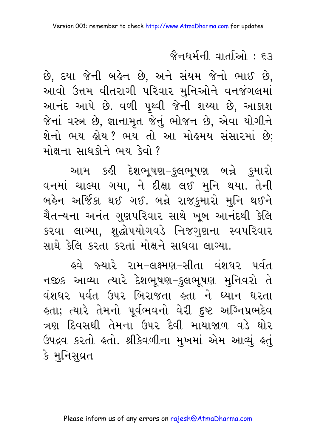#### જૈનઘર્મની વાર્તાઓ : દર

છે, દયા જેની બહેન છે, અને સંયમ જેનો ભાઈ છે, આવો ઉત્તમ વીતરાગી પરિવાર મુનિઓને વનજંગલમાં આનંદ આપે છે. વળી પૃથ્વી જેની શય્યા છે, આકાશ જેનાં વસ્ત્ર છે, જ્ઞાનામૃત જેનું ભોજન છે, એવા યોગીને શેનો ભય હોય? ભય તો આ મોહમય સંસારમાં છે: મોક્ષના સાધકોને ભય કેવો ?

આમ કહી દેશભૂષણ–કુલભૂષણ બન્ને કુમારો વનમાં ચાલ્યા ગયા, ને દીક્ષા લઈ મુનિ થયા. તેની બહેન અર્જિકા થઈ ગઈ. બન્ને રાજકુમારો મુનિ થઈને ચૈતન્યના અનંત ગુણપરિવાર સાથે ખૂબ આનંદથી કેલિ કરવા લાગ્યા, શુદ્ધોપયોગવડે નિજગુણના સ્વપરિવાર સાથે કેલિ કરતા કરતાં મોક્ષને સાધવા લાગ્યા.

હવે જ્યારે રામ–લક્ષ્મણ–સીતા વંશઘર પર્વત નજીક આવ્યા ત્યારે દેશભૂષણ-કુલભૂષણ મુનિવરો તે વંશધર પર્વત ઉપર બિરાજતા હતા ને ઘ્યાન ધરતા હતા; ત્યારે તેમનો પૂર્વભવનો વેરી દુષ્ટ અગ્નિપ્રભદેવ ત્રણ દિવસથી તેમના ઉપર દૈવી માયાજાળ વડે ઘોર ઉપદ્રવ કરતો હતો. શ્રીકેવળીના મુખમાં એમ આવ્યું હતું કે મુનિસુવ્રત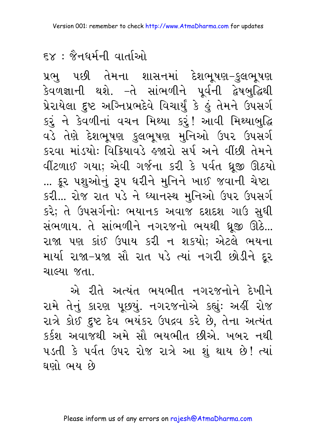$\epsilon$  $\times$  : જૈનઘર્મની વાર્તાઓ

પ્રભુ પછી તેમના શાસનમાં દેશભૂષણ–કુલભૂષણ કેવળજ્ઞાની થશે. –તે સાંભળીને પૂર્વની દ્વેષબુદ્ધિથી પ્રેરાયેલા દુષ્ટ અગ્નિપ્રભદેવે વિચાર્યું કે હું તેમને ઉપસર્ગ કરૂં ને કેવળીનાં વચન મિથ્યા કરું! આવી મિથ્યાબુદ્ધિ વડે તેણે દેશભૂષણ કુલભૂષણ મુનિઓ ઉપર ઉપસર્ગ કરવા માંડયો: વિક્રિયાવડે હજારો સર્પ અને વીંછી તેમને વીંટળાઈ ગયા; એવી ગર્જના કરી કે પર્વત ધ્રજી ઊઠયો ... ક્રૂર પશુઓનું રૂપ ધરીને મુનિને ખાઈ જવાની ચેપ્ટા કરી... રોજ રાત પડે ને ધ્યાનસ્થ મુનિઓ ઉપર ઉપસર્ગ કરે; તે ઉપસર્ગનોઃ ભયાનક અવાજ દશદશ ગાઉ સુધી સંભળાય. તે સાંભળીને નગરજનો ભયથી ધ્રજી ઊઠે... રાજા પણ કાંઈ ઉપાય કરી ન શકયો; એટલે ભયના માર્યા રાજા-પ્રજા સૌ રાત પડે ત્યાં નગરી છોડીને દૂર ચાલ્યા જતા.

એ રીતે અત્યંત ભયભીત નગરજનોને દેખીને રામે તેનું કારણ પૂછયું. નગરજનોએ કહ્યું: અહીં રોજ રાત્રે કોઈ દુષ્ટ દેવ ભયંકર ઉપદ્રવ કરે છે, તેના અત્યંત કર્કશ અવાજથી અમે સૌ ભયભીત છીએ. ખબર નથી પડતી કે પર્વત ઉપર રોજ રાત્રે આ શું થાય છે! ત્યાં ઘણો ભય છે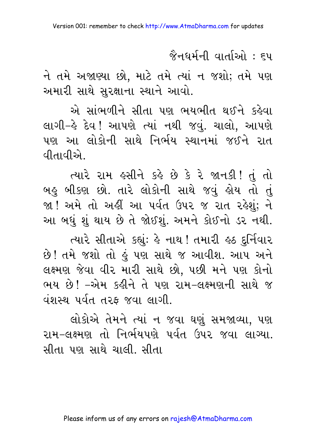જૈનઘર્મની વાર્તાઓ : <del>દ</del>પ

ને તમે અજાણ્યા છો, માટે તમે ત્યાં ન જશો; તમે પણ અમારી સાથે સુરક્ષાના સ્થાને આવો.

એ સાંભળીને સીતા પણ ભયભીત થઈને કહેવા લાગી-હે દેવ ! આપણે ત્યાં નથી જવું. ચાલો, આપણે પણ આ લોકોની સાથે નિર્ભય સ્થાનમાં જઈને રાત वीतावी*એ* 

ત્યારે રામ હસીને કહે છે કે રે જાનકી! તું તો બહુ બીકણ છો. તારે લોકોની સાથે જવું હોય તો તું જા ! અમે તો અહીં આ પર્વત ઉપર જ રાત રહેશું; ને આ બધું શું થાય છે તે જોઈશું. અમને કોઈનો ડર નથી.

ત્યારે સીતાએ કહ્યું: હે નાથ ! તમારી હઠ દુર્નિવાર છે! તમે જશો તો હું પણ સાથે જ આવીશ. આપ અને લક્ષ્મણ જેવા વીર મારી સાથે છો. પછી મને પણ કોનો ભય છે! –એમ કહીને તે પણ રામ–લક્ષ્મણની સાથે જ વંશસ્થ પર્વત તરફ જવા લાગી.

લોકોએ તેમને ત્યાં ન જવા ઘણું સમજાવ્યા, પણ રામ–લક્ષ્મણ તો નિર્ભયપણે પર્વત ઉપર જવા લાગ્યા. સીતા પણ સાથે ચાલી. સીતા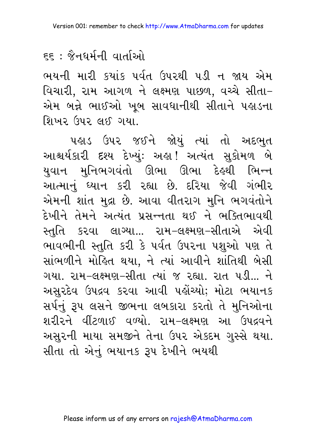## <u>દદ : જૈનઘર્મની વાર્તાઓ</u>

ભયની મારી કયાંક પર્વત ઉપરથી પડી ન જાય એમ વિચારી, રામ આગળ ને લક્ષ્મણ પાછળ, વચ્ચે સીતા– એમ બન્ને ભાઈઓ ખુબ સાવધાનીથી સીતાને પહાડના શિખર ઉપર લઈ ગયા.

પહાડ ઉપર જઈને જોયું ત્યાં તો અદભુત આશ્ચર્યકારી દશ્ય દેખ્યું: અહ્ય! અત્યંત સુકોમળ બે યુવાન મુનિભગવંતો ઊભા ઊભા દેહથી ભિન્ન આત્માનું ધ્યાન કરી રહ્યા છે. દરિયા જેવી ગંભીર એમની શાંત મુદ્રા છે. આવા વીતરાગ મુનિ ભગવંતોને દેખીને તેમને અત્યંત પ્રસન્નતા થઈ ને ભક્તિભાવથી સ્તતિ કરવા લાગ્યા... રામ–લક્ષ્મણ–સીતાએ એવી ભાવભીની સ્તુતિ કરી કે પર્વત ઉપરના પશુઓ પણ તે સાંભળીને મોહિત થયા. ને ત્યાં આવીને શાંતિથી બેસી ગયા. રામ-લક્ષ્મણ-સીતા ત્યાં જ રહ્યા. રાત પડી... ને અસુરદેવ ઉપદ્રવ કરવા આવી પહોંચ્યો; મોટા ભયાનક સર્પનું રૂપ લસને જીભના લબકારા કરતો તે મુનિઓના શરીરને વીંટળાઈ વળ્યો. રામ-લક્ષ્મણ આ ઉપદ્રવને અસુરની માયા સમજીને તેના ઉપર એકદમ ગુસ્સે થયા. સીતા તો એનું ભયાનક રૂપ દેખીને ભયથી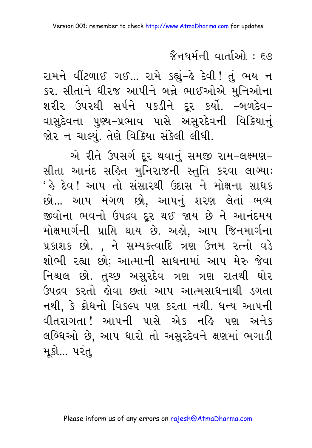#### <u> જૈનધર્મની વાર્તાઓ : ૬૭</u>

રામને વીંટળાઈ ગઈ... રામે કહ્યું-હે દેવી ! તું ભય ન કર. સીતાને ધીરજ આપીને બન્ને ભાઈઓએ મુનિઓના શરીર ઉપરથી સર્પને પકડીને દૂર કર્યો. –બળદેવ– વાસુદેવના પુણ્ય–પ્રભાવ પાસે અસુરદેવની વિક્રિયાનું જોર ન ચાલ્યું. તેણે વિક્રિયા સંકેલી લીધી.

એ રીતે ઉપસર્ગ દૂર થવાનું સમજી રામ-લક્ષ્મણ-સીતા આનંદ સહિત મુનિરાજની સ્તુતિ કરવા લાગ્યા: ' કે દેવ ! આપ તો સંસારથી ઉદાસ ને મોક્ષના સાધક છો... આપ મંગળ છો, આપનું શરણ લેતાં ભવ્ય જીવોના ભવનો ઉપદ્રવ દૂર થઈ જાય છે ને આનંદમય મોક્ષમાર્ગની પ્રાપ્તિ થાય છે. અહો, આપ જિનમાર્ગના પ્રકાશક છો., ને સમ્યકત્વાદિ ત્રણ ઉત્તમ રત્નો વડે શોભી રહ્યા છો; આત્માની સાધનામાં આપ મેરુ જેવા નિશ્ચલ છો. તુચ્છ અસુરદેવ ત્રણ ત્રણ રાતથી ઘોર ઉપદ્રવ કરતો હોવા છતાં આપ આત્મસાધનાથી ડગતા નથી, કે ક્રોધનો વિકલ્પ પણ કરતા નથી. ધન્ય આપની વીતરાગતા ! આપની પાસે એક નહિ પણ અનેક લબ્ધિઓ છે, આપ ધારો તો અસુરદેવને ક્ષણમાં ભગાડી મકો... પરંત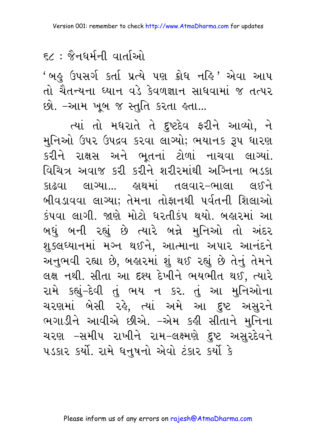## ६८ : જૈનઘર્મની વાર્તાઓ

'બહુ ઉપસર્ગ કર્તા પ્રત્યે પણ ક્રોધ નહિ ' એવા આપ તો ચૈતન્યના ધ્યાન વડે કેવળજ્ઞાન સાધવામાં જ તત્પર છો. –આમ ખૂબ જ સ્તુતિ કરતા હતા...

ત્યાં તો મધરાતે તે દુષ્ટદેવ ફરીને આવ્યો, ને મુનિઓ ઉપર ઉપદ્રવ કરવા લાગ્યો; ભયાનક રૂપ ધારણ કરીને રાક્ષસ અને ભતનાં ટોળાં નાચવા લાગ્યાં. વિચિત્ર અવાજ કરી કરીને શરીરમાંથી અગ્નિના ભડકા બીવડાવવા લાગ્યા: તેમના તોફાનથી પર્વતની શિલાઓ કંપવા લાગી. જાણે મોટો ધરતીકંપ થયો. બહારમાં આ બઘું બની રહ્યું છે ત્યારે બન્ને મુનિઓ તો અંદર શુક્લઘ્યાનમાં મગ્ન થઈને, આત્માના અપાર આનંદને અનભવી રહ્યા છે. બહારમાં શું થઈ રહ્યું છે તેનું તેમને લક્ષ નથી. સીતા આ દશ્ય દેખીને ભયભીત થઈ, ત્યારે રામે કહ્યું-દેવી તું ભય ન કર. તું આ મુનિઓના ચરણમાં બેસી રહે, ત્યાં અમે આ દુષ્ટ અસુરને ભગાડીને આવીએ છીએ. –એમ કહી સીતાને મુનિના ચરણ –સમીપ રાખીને રામ–લક્ષ્મણે દુષ્ટ અસુરદેવને પડકાર કર્યો. રામે ધનુષનો એવો ટંકાર કર્યો કે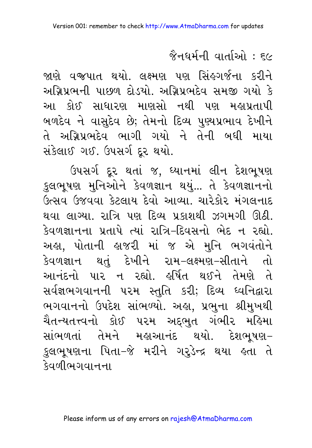<u> જૈનધર્મની વાર્તાઓ : ૬૯</u>

જાણે વજપાત થયો. લક્ષ્મણ પણ સિંહગર્જના કરીને અગ્રિપ્રભની પાછળ દોડયો. અગ્રિપ્રભદેવ સમજી ગયો કે આ કોઈ સાધારણ માણસો નથી પણ મહાપ્રતાપી બળદેવ ને વાસુદેવ છે; તેમનો દિવ્ય પુણ્યપ્રભાવ દેખીને તે અગ્નિપ્રભદેવ ભાગી ગયો ને તેની બધી માયા સંકેલાઈ ગઈ. ઉપસર્ગ દર થયો.

ઉપસર્ગ દૂર થતાં જ, ઘ્યાનમાં લીન દેશભૂષણ કુલભૂષણ મુનિઓને કેવળજ્ઞાન થયું... તે કેવળજ્ઞાનનો ઉત્સવ ઉજવવા કેટલાય દેવો આવ્યા. ચારેકોર મંગલનાદ થવા લાગ્યા. રાત્રિ પણ દિવ્ય પ્રકાશથી ઝગમગી ઊઠી. કેવળજ્ઞાનના પ્રતાપે ત્યાં રાત્રિ-દિવસનો ભેદ ન રહ્યો. અહા, પોતાની હાજરી માં જ એ મુનિ ભગવંતોને કેવળજ્ઞાન થતં દેખીને રામ-લક્ષ્મણ-સીતાને તો આનંદનો પાર ન રહ્યો. હર્ષિત થઈને તેમણે તે સર્વજ્ઞભગવાનની ૫૨મ સ્તુતિ કરી; દિવ્ય ધ્વનિદ્વારા ભગવાનનો ઉપદેશ સાંભળ્યો. અહા, પ્રભુના શ્રીમુખથી ચૈતન્યતત્ત્વનો કોઈ ૫૨મ અદ્દભુત ગંભી૨ મહિમા સાંભળતાં તેમને મહાઆનંદ થયો. દેશભૂષણ– કુલભૂષણના પિતા–જે મરીને ગરુડેન્દ્ર થયા હતા તે देवलीભગવાનના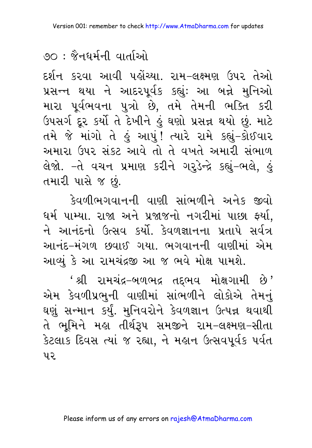## <u> १० : જૈનધર્મની વાર્તાઓ</u>

દર્શન કરવા આવી પહોંચ્યા. રામ–લક્ષ્મણ ઉપર તેઓ પ્રસન્ન થયા ને આદરપૂર્વક કહ્યું: આ બન્ને મુનિઓ મારા પૂર્વભવના પુત્રો છે, તમે તેમની ભક્તિ કરી ઉપસર્ગ દૂર કર્યો તે દેખીને હું ઘણો પ્રસન્ન થયો છું. માટે તમે જે માંગો તે હું આપું! ત્યારે રામે કહ્યું–કોઈવાર અમારા ઉપર સંકટ આવે તો તે વખતે અમારી સંભાળ લેજો. -તે વચન પ્રમાણ કરીને ગરૂડેન્દ્રે કહ્યું-ભલે, હું તમારી પાસે જ છું.

કેવળીભગવાનની વાણી સાંભળીને અનેક જીવો ઘર્મ પામ્યા. રાજા અને પ્રજાજનો નગરીમાં પાછા ફર્યા, ને આનંદનો ઉત્સવ કર્યો. કેવળજ્ઞાનના પ્રતાપે સર્વત્ર આનંદ–મંગળ છવાઈ ગયા. ભગવાનની વાણીમાં એમ આવ્યું કે આ રામચંદ્રજી આ જ ભવે મોક્ષ પામશે.

' શ્રી રામચંદ્ર–બળભદ્ર તદ્દભવ મોક્ષગામી છે' એમ કેવળીપ્રભુની વાણીમાં સાંભળીને લોકોએ તેમનું ઘણું સન્માન કર્યું. મુનિવરોને કેવળજ્ઞાન ઉત્પન્ન થવાથી તે ભૂમિને મહા તીર્થરૂપ સમજીને રામ–લક્ષ્મણ–સીતા કેટલાક દિવસ ત્યાં જ રહ્યા, ને મહાન ઉત્સવપૂર્વક પર્વત ิน $\overline{Q}$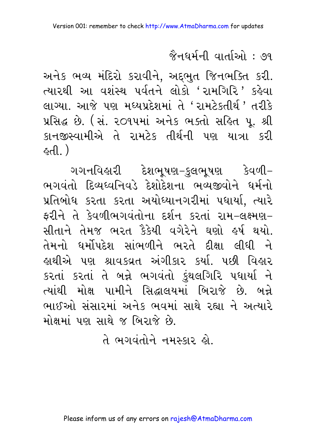<u> જૈનધર્મની વાર્તાઓ : ૭૧</u>

અનેક ભવ્ય મંદિરો કરાવીને, અદ્દભુત જિનભક્તિ કરી. ત્યારથી આ વશેસ્થ પર્વતને લોકો 'રામગિરિ' કહેવા લાગ્યા. આજે પણ મધ્યપ્રદેશમાં તે 'રામટેકતીર્થ' તરીકે પ્રસિદ્ધ છે. (સં. ૨૦૧૫માં અનેક ભક્તો સહિત પૂ. શ્રી કાનજીસ્વામીએ તે રામટેક તીર્થની પણ યાત્રા કરી  $( \ \mathbb{A}^3 )$ 

ગગનવિહારી દેશભુષણ–કુલભુષણ કેવળી– ભગવંતો દિવ્યધ્વનિવડે દેશોદેશના ભવ્યજીવોને ધર્મનો પ્રતિબોધ કરતા કરતા અયોધ્યાનગરીમાં પધાર્યા. ત્યારે ફરીને તે કેવળીભગવંતોના દર્શન કરતાં રામ-લક્ષ્મણ-સીતાને તેમજ ભરત ફૈકેયી વગેરેને ઘણો હર્ષ થયો. તેમનો ધર્મોપદેશ સાંભળીને ભરતે દીક્ષા લીધી ને હાથીએ પણ શ્રાવકવ્રત અંગીકાર કર્યા. પછી વિહાર કરતાં કરતાં તે બન્ને ભગવંતો કુંથલગિરિ પધાર્યા ને ત્યાંથી મોક્ષ પામીને સિદ્ધાલયમાં બિરાજે છે. બન્ને ભાઈઓ સંસારમાં અનેક ભવમાં સાથે રહ્યા ને અત્યારે મોક્ષમાં પણ સાથે જ બિરાજે છે.

તે ભગવંતોને નમસ્કાર હો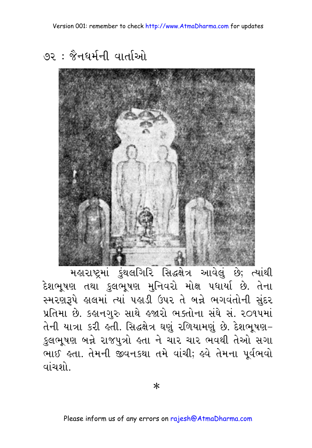७२ : જૈનધર્મની વાર્તાઓ



महाराष्ट्रमां કुंथલगिरि सिद्धसेत्र આવેલું છે; त्यांथी દેશભૂષણ તથા કુલભૂષણ મુનિવરો મોક્ષ પર્ધાર્યા છે. તેના સ્મરણરૂપે હાલમાં ત્યાં પહાડી ઉપર તે બન્ને ભગવંતોની સુંદર પ્રતિમા છે. કહાનગુરુ સાથે હજારો ભક્તોના સંઘે સં. ૨૦૧૫માં તેની યાત્રા કરી હતી. સિદ્ધક્ષેત્ર ઘણું રળિયામણું છે. દેશભૂષણ– કુલભૂષણ બન્ને રાજપુત્રો હતા ને ચાર ચાર ભવથી તેઓ સગા ભાઈ હતા. તેમની જીવનકથા તમે વાંચી; હવે તેમના પૂર્વભવો વાંચશો

 $\ast$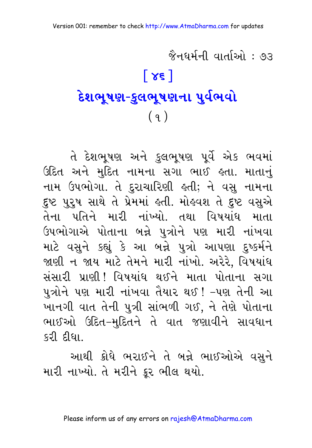# જૈનઘર્મની વાર્તાઓ : ૭૩ **(46)** <mark>દેશભૂષણ-કુલભૂષણના પુર્વભવો</mark> **e**  $(9)$

તે દેશભૂષણ અને કુલભૂષણ પૂર્વે એક ભવમાં ઉદિત અને મુદિત નામના સગા ભાઈ હતા. માતાનું નામ ઉપભોગા. તે દુરાચારિણી હતી; ને વસુ નામના દુષ્ટ પુરુષ સાથે તે પ્રેમમાં હતી. મોહવશ તે દુષ્ટ વસુએ તેના પતિને મારી નાંખ્યો. તથા વિષયાંધ માતા ઉપભોગાએ પોતાના બન્ને પુત્રોને પણ મારી નાંખવા માટે વસુને કહ્યું કે આ બન્ને પુત્રો આપણા દુષ્કર્મને જાણી ન જાય માટે તેમને મારી નાંખો. અરેરે, વિષયાંધ સંસારી પ્રાણી! વિષયાંધ થઈને માતા પોતાના સગા પુત્રોને પણ મારી નાંખવા તૈયાર થઈ ! –પણ તેની આ ખાનગી વાત તેની પુત્રી સાંભળી ગઈ, ને તેણે પોતાના ભાઈઓ ઉદિત-મુદિતને તે વાત જણાવીને સાવધાન કરી દીધા

આથી ક્રોધે ભરાઈને તે બન્ને ભાઈઓએ વસને

મારી નાખ્યો. તે મરીને ક્રર ભીલ થયો.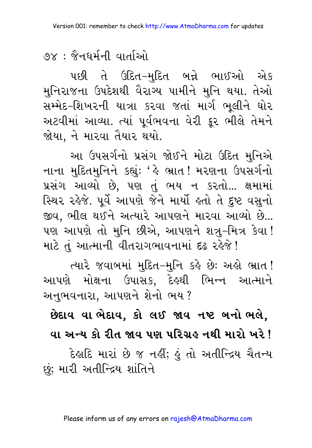७x : જૈનઘર્મની વાર્તાઓ

પછી તે ઉદિત–મુદિત બન્ને ભાઈઓ એક મુનિરાજના ઉપદેશથી વૈરાગ્ય પામીને મુનિ થયા. તેઓ સમ્મેદ–શિખરની યાત્રા કરવા જતાં માર્ગ ભૂલીને ઘોર અટવીમાં આવ્યા. ત્યાં પૂર્વભવના વેરી ક્રૂર ભીલે તેમને જોયા. ને મારવા તૈયાર થયો.

આ ઉપસર્ગનો પ્રસંગ જોઈને મોટા ઉદિત મનિએ નાના મુદિતમુનિને કહ્યું: ' હે ભ્રાત! મરણના ઉપસર્ગનો પ્રસંગ આવ્યો છે, પણ તું ભય ન કરતો... ક્ષમામાં સ્થિર રહેજે. પૂર્વે આપણે જેને માર્યો હતો તે દૃષ્ટ વસુનો જીવ, ભીલ થઈને અત્યારે આપણને મારવા આવ્યો છે... પણ આપણે તો મુનિ છીએ. આપણને શત્ર-મિત્ર કેવા! માટે તું આત્માની વીતરાગભાવનામાં દઢ રહેજે!

ત્યારે જવાબમાં મદિત-મનિ કહે છેઃ અહો ભ્રાત! આપણે મોક્ષના ઉપાસક, દેહથી ભિન્ન આત્માને અનુભવનારા, આપણને શેનો ભય ?

છેદાવ વા ભેદાવ, કો લઈ જાવ નષ્ટ બનો ભલે, વા અન્ય કો રીત જાવ પણ પરિગ્રહ નથી મારો ખરે !

દેહાદિ મારાં છે જ નહીં; હું તો અતીન્દ્રિય ચૈતન્ય છું; મારી અતીન્દ્રિય શાંતિને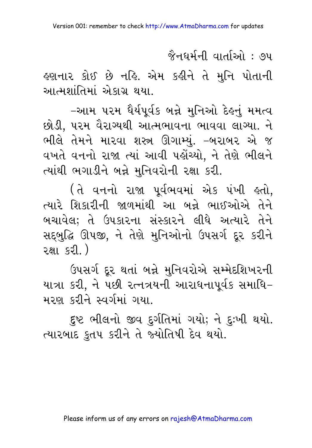જૈનઘર્મની વાર્તાઓ : ७૫

હણનાર કોઈ છે નહિ. એમ કહીને તે મુનિ પોતાની આત્મશાંતિમાં એકાગ્ર થયા.

–આમ પરમ ઘૈર્યપર્વક બન્ને મનિઓ દેહનં મમત્વ છોડી, પરમ વૈરાગ્યથી આત્મભાવના ભાવવા લાગ્યા. ને ભીલે તેમને મારવા શસ્ત્ર ઊગામ્યું. –બરાબર એ જ વખતે વનનો રાજા ત્યાં આવી પહોંચ્યો. ને તેણે ભીલને ત્યાંથી ભગાડીને બન્ને મુનિવરોની રક્ષા કરી.

(તે વનનો રાજા પૂર્વભવમાં એક પંખી હતો, ત્યારે શિકારીની જાળમાંથી આ બન્ને ભાઈઓએ તેને બચાવેલ; તે ઉપકારના સંસ્કારને લીધે અત્યારે તેને સદ્બુદ્ધિ ઊપજી, ને તેણે મુનિઓનો ઉપસર્ગ દૂર કરીને  $\overline{2}$ क्षा ६२ी के

ઉપસર્ગ દૂર થતાં બન્ને મુનિવરોએ સમ્મેદશિખરની યાત્રા કરી, ને પછી રત્નત્રયની આરાધનાપૂર્વક સમાધિ– મરણ કરીને સ્વર્ગમાં ગયા.

દૃષ્ટ ભીલનો જીવ દુર્ગતિમાં ગયો; ને દુઃખી થયો. ત્યારબાદ કુતપ કરીને તે જ્યોતિષી દેવ થયો.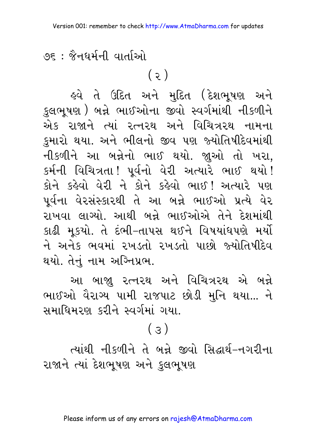$\sqrt{25}$  : જૈનઘર્મની વાર્તાઓ

 $(5)$ 

હવે તે ઉદિત અને મુદિત (દેશભૂષણ અને કુલભૂષણ ) બન્ને ભાઈઓના જીવો સ્વર્ગમાંથી નીકળીને એક રાજાને ત્યાં રત્નરથ અને વિચિત્રરથ નામના કુમારો થયા. અને ભીલનો જીવ પણ જ્યોતિષીદેવમાંથી નીકળીને આ બન્નેનો ભાઈ થયો. જ્ઞુઓ તો ખરા, કર્મની વિચિત્રતા! પૂર્વનો વેરી અત્યારે ભાઈ થયો! કોને કહેવો વેરી ને કોને કહેવો ભાઈ ! અત્યારે પણ પૂર્વના વેરસંસ્કારથી તે આ બન્ને ભાઈઓ પ્રત્યે વેર રાખવા લાગ્યો. આથી બન્ને ભાઈઓએ તેને દેશમાંથી કાઢી મકયો. તે દંભી–તાપસ થઈને વિષયાંધપણે મર્યો ને અનેક ભવમાં રખડતો રખડતો પાછો જ્યોતિષીદેવ થયો. તેનું નામ અગ્નિપ્રભ.

આ બાજા રત્નરથ અને વિચિત્રરથ એ બન્ને ભાઈઓ વૈરાગ્ય પામી રાજપાટ છોડી મુનિ થયા... ને  $\mathcal{R}$ માધિમરણ કરીને સ્વર્ગમાં ગયા.

## (3)

<u>raiથી નીકળીને તે બન્ને જીવો સિદ્ધાર્થ-નગરીના</u> રાજાને ત્યાં દેશભૂષણ અને કુલભૂષણ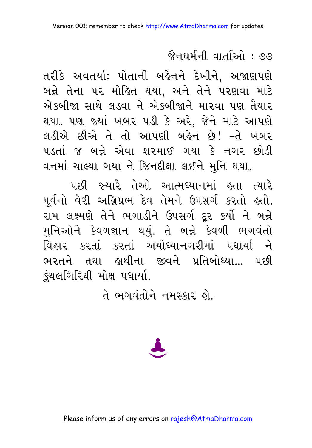#### <u> જૈનધર્મની વાર્તાઓ : ૭૭</u>

તરીકે અવતર્યા: પોતાની બહેનને દેખીને, અજાણપણે બન્ને તેના પર મોહિત થયા. અને તેને પરણવા માટે એકબીજા સાથે લડવા ને એકબીજાને મારવા પણ તૈયાર થયા. પણ જ્યાં ખબર પડી કે અરે, જેને માટે આપણે લડીએ છીએ તે તો આપણી બહેન છે! –તે ખબર પડતાં જ બન્ને એવા શરમાઈ ગયા કે નગર છોડી વનમાં ચાલ્યા ગયા ને જિનદીક્ષા લઈને મુનિ થયા.

પછી જ્યારે તેઓ આત્મધ્યાનમાં હતા ત્યારે પૂર્વનો વેરી અગ્નિપ્રભ દેવ તેમને ઉપસર્ગ કરતો હતો. રામ લક્ષ્મણે તેને ભગાડીને ઉપસર્ગ દૂર કર્યો ને બન્ને મુનિઓને કેવળજ્ઞાન થયું. તે બન્ને કેવળી ભગવંતો વિહાર કરતાં કરતાં અયોધ્યાનગરીમાં પધાર્યા ને ભરતને તથા લથીના જીવને પ્રતિબોધ્યા... પછી કંથલગિરિથી મોક્ષ પધાર્યા.

તે ભગવંતોને નમસ્કાર હો.

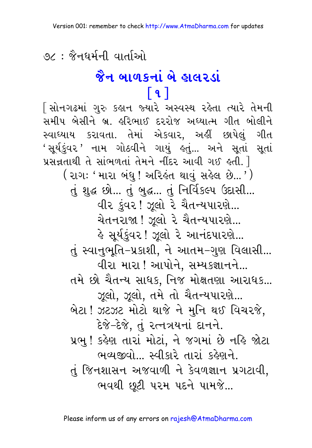७८ : જૈનઘર્મની વાર્તાઓ

# જૈન બાળકનાં બે હાલરડાં  $\lceil 9 \rceil$

[સોનગઢમાં ગુરુ કહાન જ્યારે અસ્વસ્થ રહેતા ત્યારે તેમની સમીપ બેસીને બ્રુ. હરિભાઈ દરરોજ અધ્યાત્મ ગીત બોલીને સ્વાઘ્યાય કરાવતા. તેમાં એકવાર, અહીં છાપેલું ગીત સતાં પ્રસન્નતાથી તે સાંભળતાં તેમને નીંદર આવી ગઈ હતી. 1 ( રાગઃ ' મારા બંધુ ! અરિહંત થાવું સહેલ છે... ' ) તું શુદ્ધ છો... તું બુદ્ધ... તું નિર્વિકલ્પ ઉદાસી... વીર કુંવર! ઝૂલો રે ચૈતન્યપારણે... ચેતનરાજા ! ઝૂલો રે ચૈતન્યપારણે... ﴾ સૂર્યકુંવર! ઝૂલો રે આનંદપારણે... તું સ્વાનુભૂતિ–પ્રકાશી, ને આતમ–ગુણ વિલાસી... વીરા મારા ! આપોને, સમ્યકજ્ઞાનને... તમે છો ચૈતન્ય સાધક. નિજ મોક્ષતણા આરાધક... ઝૂલો, ઝૂલો, તમે તો ચૈતન્યપારણે... બેટા ! ઝટઝટ મોટો થાજે ને મુનિ થઈ વિચરજે, દેજે-દેજે, તું રત્નત્રયનાં દાનને. પ્રભુ ! કહેણ તારાં મોટાં, ને જગમાં છે નહિ જોટા ભવ્યજીવો સ્વીકારે તારાં કહેણને તું જિનશાસન અજવાળી ને કેવળજ્ઞાન પ્રગટાવી. ભવથી છુટી પરમ પદને પામજે...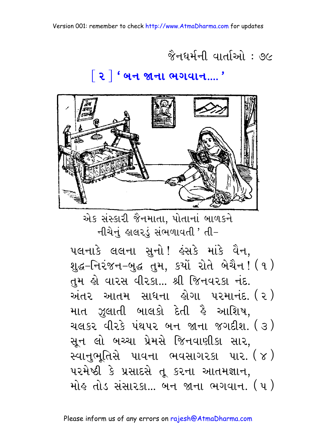#### જૈનધર્મની વાર્તાઓ : ૭૯

#### ∣૨ ∣ ' બન જાના ભગવાન.... '



એક સંસ્કારી જૈનમાતા, પોતાનાં બાળકને નીચેનું હાલરડું સંભળાવતી ' તી-

૫લનાકે લલના સુનો! હંસકે માંકે વૈન, શુદ્ધ-નિરંજન-બુદ્ધ તુમ, કર્યો રોતે બેચૈન! (૧) તુમ હો વારસ વીરકા... શ્રી જિનવરકા નંદ. અંતર આતમ સાધના લેગા પરમાનંદ (૨) માત ઝુલાતી બાલકો દેતી હૈ આશિષ, ચલકર વીરકે પંથપર બન જાના જગદીશ. (૩) સૂન લો બચ્ચા પ્રેમસે જિનવાણીકા સાર, સ્વાનુભૂતિસે પાવના ભવસાગરકા પાર. $(\gamma)$ પરમેષ્ઠી કે પ્રસાદસે તૂ કરના આતમજ્ઞાન, મોઙ તોડ સંસારકા... બન જાના ભગવાન. (૫)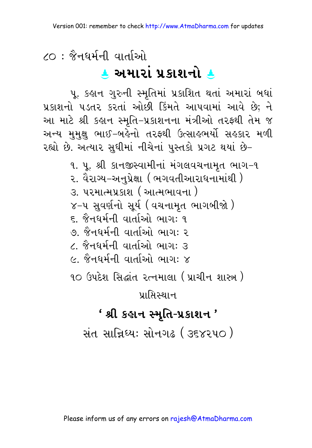# $20 :$  જૈનઘર્મની વાર્તાઓ <u>**A**</u> અમારા પ્રકાશનો ક

પૂ. કહાન ગુરુની સ્મૃતિમાં પ્રકાશિત થતાં અમારાં બધાં પ્રકાશનો પડતર કરતાં ઓછી કિંમતે આપવામાં આવે છે; ને આ માટે શ્રી કહાન સ્મૃતિ-પ્રકાશનના મંત્રીઓ તરફથી તેમ જ અન્ય મુમુક્ષુ ભાઈ–બહેનો તરફથી ઉત્સાહભર્યો સહકાર મળી રહ્યો છે. અત્યાર સુધીમાં નીચેનાં પુસ્તકો પ્રગટ થયાં છે–

> ૧. ૫. શ્રી કાનજીસ્વામીનાં મંગલવચનામત ભાગ−૧ ૨. વૈરાગ્ય–અનુપ્રેક્ષા ( ભગવતીઆરાધનામાંથી )  $3.$  પુરમાત્મપ્રકાશ ( આત્મભાવના ) ૪–૫ સવર્ણનો સર્ય (વચનામત ભાગબીજો ) ૬. જૈનધર્મની વાર્તાઓ ભાગ: ૧ ૭ જૈનધર્મની <u>વાર્તાઓ ભાગ: ૨</u> ૮. જૈનધર્મની વાર્તાઓ ભાગ: ૩  $\epsilon$ . જૈનધર્મની વાર્તાઓ ભાગ: ૪ ૧૦ ઉપદેશ સિદ્ધાંત રત્નમાલા ( પ્રાચીન શાસ્ત્ર )  $y$ । मिस्थान $\overline{\phantom{a}}$

### $'$  શ્રી કહાન સ્મૃતિ-પ્રકાશન '

સંત સાન્નિધ્ય: સોનગઢ ( ૩૬૪૨૫૦ )